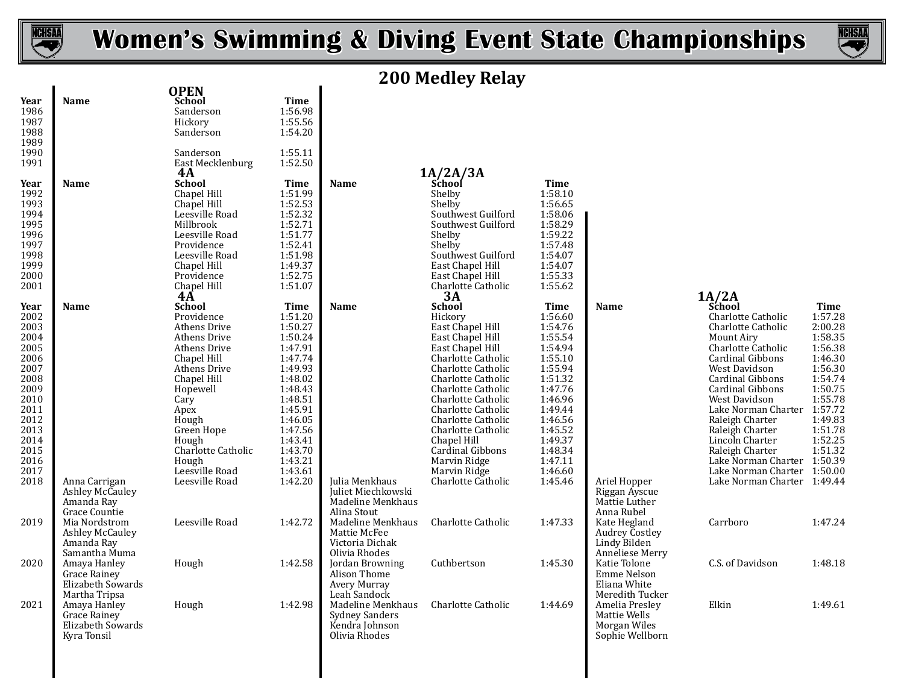

**Year Name School Time OPEN**



# **200 Medley Relay**

| <br>1986<br>1987<br>1988<br>1989<br>1990<br>1991                                                                                             |                                                                                      | Sanderson<br>Hickory<br>Sanderson<br>Sanderson<br>East Mecklenburg<br>4A                                                                                                                                                                                               | 1:56.98<br>1:55.56<br>1:54.20<br>1:55.11<br>1:52.50                                                                                                                                                    |                                                                                          | 1A/2A/3A                                                                                                                                                                                                                                                                                                                                               |                                                                                                                                                                                                        |                                                                                      |                                                                                                                                                                                                                                                                                                                                                                                                                              |                                                                                                                                                            |
|----------------------------------------------------------------------------------------------------------------------------------------------|--------------------------------------------------------------------------------------|------------------------------------------------------------------------------------------------------------------------------------------------------------------------------------------------------------------------------------------------------------------------|--------------------------------------------------------------------------------------------------------------------------------------------------------------------------------------------------------|------------------------------------------------------------------------------------------|--------------------------------------------------------------------------------------------------------------------------------------------------------------------------------------------------------------------------------------------------------------------------------------------------------------------------------------------------------|--------------------------------------------------------------------------------------------------------------------------------------------------------------------------------------------------------|--------------------------------------------------------------------------------------|------------------------------------------------------------------------------------------------------------------------------------------------------------------------------------------------------------------------------------------------------------------------------------------------------------------------------------------------------------------------------------------------------------------------------|------------------------------------------------------------------------------------------------------------------------------------------------------------|
| Year<br>1992<br>1993<br>1994<br>1995<br>1996<br>1997<br>1998<br>1999<br>2000<br>2001                                                         | Name                                                                                 | <b>School</b><br>Chapel Hill<br>Chapel Hill<br>Leesville Road<br>Millbrook<br>Leesville Road<br>Providence<br>Leesville Road<br>Chapel Hill<br>Providence<br>Chapel Hill<br>$4\AA$                                                                                     | Time<br>1:51.99<br>1:52.53<br>1:52.32<br>1:52.71<br>1:51.77<br>1:52.41<br>1:51.98<br>1:49.37<br>1:52.75<br>1:51.07                                                                                     | Name                                                                                     | School<br>Shelby<br>Shelby<br>Southwest Guilford<br>Southwest Guilford<br>Shelby<br>Shelby<br>Southwest Guilford<br>East Chapel Hill<br>East Chapel Hill<br>Charlotte Catholic<br>$\overline{3A}$                                                                                                                                                      | Time<br>1:58.10<br>1:56.65<br>1:58.06<br>1:58.29<br>1:59.22<br>1:57.48<br>1:54.07<br>1:54.07<br>1:55.33<br>1:55.62                                                                                     |                                                                                      |                                                                                                                                                                                                                                                                                                                                                                                                                              |                                                                                                                                                            |
| Year<br>2002<br>2003<br>2004<br>2005<br>2006<br>2007<br>2008<br>2009<br>2010<br>2011<br>2012<br>2013<br>2014<br>2015<br>2016<br>2017<br>2018 | Name<br>Anna Carrigan<br><b>Ashley McCauley</b>                                      | <b>School</b><br>Providence<br><b>Athens Drive</b><br><b>Athens Drive</b><br>Athens Drive<br>Chapel Hill<br>Athens Drive<br>Chapel Hill<br>Hopewell<br>Cary<br>Apex<br>Hough<br>Green Hope<br>Hough<br>Charlotte Catholic<br>Hough<br>Leesville Road<br>Leesville Road | <b>Time</b><br>1:51.20<br>1:50.27<br>1:50.24<br>1:47.91<br>1:47.74<br>1:49.93<br>1:48.02<br>1:48.43<br>1:48.51<br>1:45.91<br>1:46.05<br>1:47.56<br>1:43.41<br>1:43.70<br>1:43.21<br>1:43.61<br>1:42.20 | Name<br>Julia Menkhaus<br>Juliet Miechkowski                                             | School<br>Hickory<br>East Chapel Hill<br>East Chapel Hill<br>East Chapel Hill<br>Charlotte Catholic<br>Charlotte Catholic<br>Charlotte Catholic<br>Charlotte Catholic<br>Charlotte Catholic<br>Charlotte Catholic<br>Charlotte Catholic<br>Charlotte Catholic<br>Chapel Hill<br>Cardinal Gibbons<br>Marvin Ridge<br>Marvin Ridge<br>Charlotte Catholic | <b>Time</b><br>1:56.60<br>1:54.76<br>1:55.54<br>1:54.94<br>1:55.10<br>1:55.94<br>1:51.32<br>1:47.76<br>1:46.96<br>1:49.44<br>1:46.56<br>1:45.52<br>1:49.37<br>1:48.34<br>1:47.11<br>1:46.60<br>1:45.46 | Name<br>Ariel Hopper<br>Riggan Ayscue                                                | $1A/2A$<br>School<br>Charlotte Catholic<br>Charlotte Catholic<br><b>Mount Airy</b><br>Charlotte Catholic<br><b>Cardinal Gibbons</b><br>West Davidson<br><b>Cardinal Gibbons</b><br>Cardinal Gibbons<br>West Davidson<br>Lake Norman Charter 1:57.72<br>Raleigh Charter<br>Raleigh Charter<br>Lincoln Charter<br>Raleigh Charter<br>Lake Norman Charter 1:50.39<br>Lake Norman Charter 1:50.00<br>Lake Norman Charter 1:49.44 | <b>Time</b><br>1:57.28<br>2:00.28<br>1:58.35<br>1:56.38<br>1:46.30<br>1:56.30<br>1:54.74<br>1:50.75<br>1:55.78<br>1:49.83<br>1:51.78<br>1:52.25<br>1:51.32 |
| 2019                                                                                                                                         | Amanda Ray<br>Grace Countie<br>Mia Nordstrom<br><b>Ashley McCauley</b><br>Amanda Ray | Leesville Road                                                                                                                                                                                                                                                         | 1:42.72                                                                                                                                                                                                | Madeline Menkhaus<br>Alina Stout<br>Madeline Menkhaus<br>Mattie McFee<br>Victoria Dichak | Charlotte Catholic                                                                                                                                                                                                                                                                                                                                     | 1:47.33                                                                                                                                                                                                | Mattie Luther<br>Anna Rubel<br>Kate Hegland<br><b>Audrey Costley</b><br>Lindy Bilden | Carrboro                                                                                                                                                                                                                                                                                                                                                                                                                     | 1:47.24                                                                                                                                                    |
| 2020                                                                                                                                         | Samantha Muma<br>Amaya Hanley<br>Grace Rainey<br>Elizabeth Sowards<br>Martha Tripsa  | Hough                                                                                                                                                                                                                                                                  | 1:42.58                                                                                                                                                                                                | Olivia Rhodes<br>Jordan Browning<br>Alison Thome<br><b>Avery Murray</b><br>Leah Sandock  | Cuthbertson                                                                                                                                                                                                                                                                                                                                            | 1:45.30                                                                                                                                                                                                | Anneliese Merry<br>Katie Tolone<br>Emme Nelson<br>Eliana White<br>Meredith Tucker    | C.S. of Davidson                                                                                                                                                                                                                                                                                                                                                                                                             | 1:48.18                                                                                                                                                    |
| 2021                                                                                                                                         | Amaya Hanley<br>Grace Rainey<br>Elizabeth Sowards<br>Kyra Tonsil                     | Hough                                                                                                                                                                                                                                                                  | 1:42.98                                                                                                                                                                                                | Madeline Menkhaus<br><b>Sydney Sanders</b><br>Kendra Johnson<br>Olivia Rhodes            | Charlotte Catholic                                                                                                                                                                                                                                                                                                                                     | 1:44.69                                                                                                                                                                                                | Amelia Presley<br>Mattie Wells<br>Morgan Wiles<br>Sophie Wellborn                    | Elkin                                                                                                                                                                                                                                                                                                                                                                                                                        | 1:49.61                                                                                                                                                    |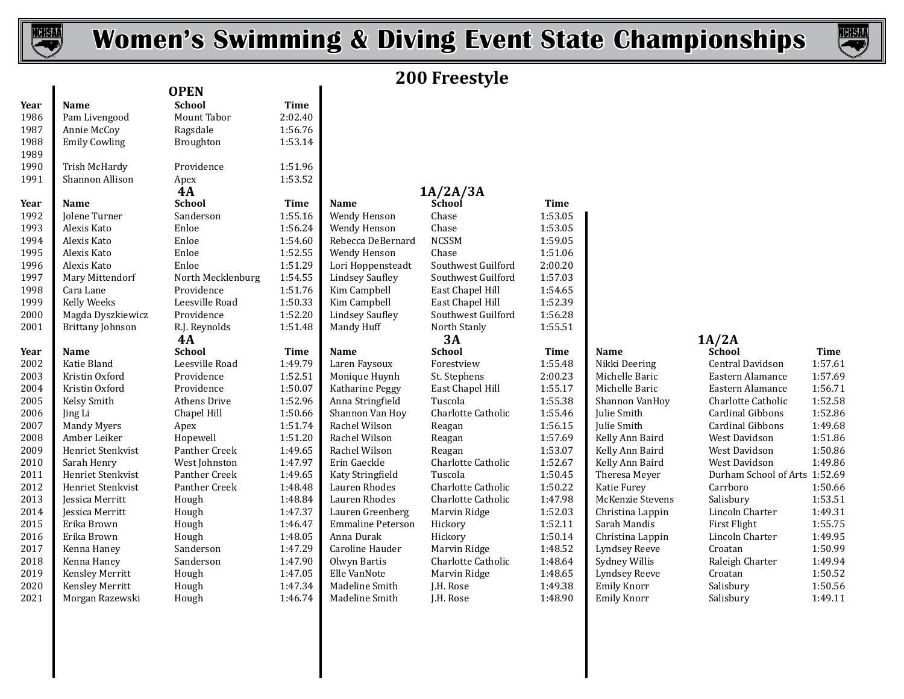



# **200 Freestyle**

|      |                         | <b>OPEN</b>       |         |                        |                    |             |                    |                               |             |
|------|-------------------------|-------------------|---------|------------------------|--------------------|-------------|--------------------|-------------------------------|-------------|
| Year | Name                    | <b>School</b>     | Time    |                        |                    |             |                    |                               |             |
| 1986 | Pam Livengood           | Mount Tabor       | 2:02.40 |                        |                    |             |                    |                               |             |
| 1987 | Annie McCoy             | Ragsdale          | 1:56.76 |                        |                    |             |                    |                               |             |
| 1988 | <b>Emily Cowling</b>    | Broughton         | 1:53.14 |                        |                    |             |                    |                               |             |
| 1989 |                         |                   |         |                        |                    |             |                    |                               |             |
| 1990 | Trish McHardy           | Providence        | 1:51.96 |                        |                    |             |                    |                               |             |
| 1991 | Shannon Allison         | Apex              | 1:53.52 |                        |                    |             |                    |                               |             |
|      |                         | <b>4A</b>         |         |                        | 1A/2A/3A           |             |                    |                               |             |
| Year | Name                    | <b>School</b>     | Time    | Name                   | School             | <b>Time</b> |                    |                               |             |
| 1992 | Jolene Turner           | Sanderson         | 1:55.16 | Wendy Henson           | Chase              | 1:53.05     |                    |                               |             |
| 1993 | Alexis Kato             | Enloe             | 1:56.24 | Wendy Henson           | Chase              | 1:53.05     |                    |                               |             |
| 1994 | Alexis Kato             | Enloe             | 1:54.60 | Rebecca DeBernard      | <b>NCSSM</b>       | 1:59.05     |                    |                               |             |
| 1995 | Alexis Kato             | Enloe             | 1:52.55 | Wendy Henson           | Chase              | 1:51.06     |                    |                               |             |
| 1996 | Alexis Kato             | Enloe             | 1:51.29 | Lori Hoppensteadt      | Southwest Guilford | 2:00.20     |                    |                               |             |
| 1997 | Mary Mittendorf         | North Mecklenburg | 1:54.55 | <b>Lindsey Saufley</b> | Southwest Guilford | 1:57.03     |                    |                               |             |
| 1998 | Cara Lane               | Providence        | 1:51.76 | Kim Campbell           | East Chapel Hill   | 1:54.65     |                    |                               |             |
| 1999 | Kelly Weeks             | Leesville Road    | 1:50.33 | Kim Campbell           | East Chapel Hill   | 1:52.39     |                    |                               |             |
| 2000 | Magda Dyszkiewicz       | Providence        | 1:52.20 | <b>Lindsey Saufley</b> | Southwest Guilford | 1:56.28     |                    |                               |             |
| 2001 | <b>Brittany Johnson</b> | R.J. Reynolds     | 1:51.48 | Mandy Huff             | North Stanly       | 1:55.51     |                    |                               |             |
|      |                         | 4A                |         |                        | 3A                 |             |                    | 1A/2A                         |             |
| Year | Name                    | <b>School</b>     | Time    | Name                   | <b>School</b>      | Time        | Name               | School                        | <b>Time</b> |
| 2002 | Katie Bland             | Leesville Road    | 1:49.79 | Laren Faysoux          | Forestview         | 1:55.48     | Nikki Deering      | Central Davidson              | 1:57.61     |
| 2003 | Kristin Oxford          | Providence        | 1:52.51 | Monique Huynh          | St. Stephens       | 2:00.23     | Michelle Baric     | Eastern Alamance              | 1:57.69     |
| 2004 | Kristin Oxford          | Providence        | 1:50.07 | Katharine Peggy        | East Chapel Hill   | 1:55.17     | Michelle Baric     | Eastern Alamance              | 1:56.71     |
| 2005 | Kelsy Smith             | Athens Drive      | 1:52.96 | Anna Stringfield       | Tuscola            | 1:55.38     | Shannon VanHoy     | Charlotte Catholic            | 1:52.58     |
| 2006 | Jing Li                 | Chapel Hill       | 1:50.66 | Shannon Van Hoy        | Charlotte Catholic | 1:55.46     | Julie Smith        | Cardinal Gibbons              | 1:52.86     |
| 2007 | <b>Mandy Myers</b>      | Apex              | 1:51.74 | Rachel Wilson          | Reagan             | 1:56.15     | Julie Smith        | <b>Cardinal Gibbons</b>       | 1:49.68     |
| 2008 | Amber Leiker            | Hopewell          | 1:51.20 | Rachel Wilson          | Reagan             | 1:57.69     | Kelly Ann Baird    | West Davidson                 | 1:51.86     |
| 2009 | Henriet Stenkvist       | Panther Creek     | 1:49.65 | Rachel Wilson          | Reagan             | 1:53.07     | Kelly Ann Baird    | West Davidson                 | 1:50.86     |
| 2010 | Sarah Henry             | West Johnston     | 1:47.97 | Erin Gaeckle           | Charlotte Catholic | 1:52.67     | Kelly Ann Baird    | West Davidson                 | 1:49.86     |
| 2011 | Henriet Stenkvist       | Panther Creek     | 1:49.65 | Katy Stringfield       | Tuscola            | 1:50.45     | Theresa Meyer      | Durham School of Arts 1:52.69 |             |
| 2012 | Henriet Stenkvist       | Panther Creek     | 1:48.48 | Lauren Rhodes          | Charlotte Catholic | 1:50.22     | Katie Furey        | Carrboro                      | 1:50.66     |
| 2013 | Jessica Merritt         | Hough             | 1:48.84 | Lauren Rhodes          | Charlotte Catholic | 1:47.98     | McKenzie Stevens   | Salisbury                     | 1:53.51     |
| 2014 | <b>Jessica Merritt</b>  | Hough             | 1:47.37 | Lauren Greenberg       | Marvin Ridge       | 1:52.03     | Christina Lappin   | Lincoln Charter               | 1:49.31     |
| 2015 | Erika Brown             | Hough             | 1:46.47 | Emmaline Peterson      | Hickory            | 1:52.11     | Sarah Mandis       | First Flight                  | 1:55.75     |
| 2016 | Erika Brown             | Hough             | 1:48.05 | Anna Durak             | Hickory            | 1:50.14     | Christina Lappin   | Lincoln Charter               | 1:49.95     |
| 2017 | Kenna Haney             | Sanderson         | 1:47.29 | Caroline Hauder        | Marvin Ridge       | 1:48.52     | Lyndsey Reeve      | Croatan                       | 1:50.99     |
| 2018 | Kenna Haney             | Sanderson         | 1:47.90 | Olwyn Bartis           | Charlotte Catholic | 1:48.64     | Sydney Willis      | Raleigh Charter               | 1:49.94     |
| 2019 | Kensley Merritt         | Hough             | 1:47.05 | Elle VanNote           | Marvin Ridge       | 1:48.65     | Lyndsey Reeve      | Croatan                       | 1:50.52     |
| 2020 | Kensley Merritt         | Hough             | 1:47.34 | Madeline Smith         | J.H. Rose          | 1:49.38     | <b>Emily Knorr</b> | Salisbury                     | 1:50.56     |
| 2021 | Morgan Razewski         | Hough             | 1:46.74 | Madeline Smith         | J.H. Rose          | 1:48.90     | <b>Emily Knorr</b> | Salisbury                     | 1:49.11     |

| <b>PEN</b>               |             |                          |                      |
|--------------------------|-------------|--------------------------|----------------------|
| <b>School</b>            | <b>Time</b> |                          |                      |
| Mount Tabor              | 2:02.40     |                          |                      |
| <b>Ragsdale</b>          | 1:56.76     |                          |                      |
| Broughton                | 1:53.14     |                          |                      |
| Providence               | 1:51.96     |                          |                      |
| Apex                     | 1:53.52     |                          |                      |
| 4А                       |             |                          | 1A/2A/3A             |
| <b>school</b>            | Time        | Name                     | School               |
| Sanderson                | 1:55.16     | Wendy Henson             | Chase                |
| ?nloe                    | 1:56.24     | Wendy Henson             | Chase                |
| ?nloe                    | 1:54.60     | Rebecca DeBernard        | <b>NCSSM</b>         |
| <b>Enloe</b>             | 1:52.55     | Wendy Henson             | Chase                |
| <b>Enloe</b>             | 1:51.29     | Lori Hoppensteadt        | Southwest G          |
| <b>North Mecklenburg</b> | 1:54.55     | <b>Lindsey Saufley</b>   | Southwest G          |
| Providence               | 1:51.76     | Kim Campbell             | East Chapel          |
| eesville Road            | 1:50.33     | Kim Campbell             | East Chapel          |
| Providence               | 1:52.20     | <b>Lindsey Saufley</b>   | Southwest G          |
| <b>R.J.</b> Reynolds     | 1:51.48     | Mandy Huff               | North Stanly         |
| 4А                       |             |                          | 3А                   |
| <b>School</b>            | <b>Time</b> | Name                     | <b>School</b>        |
| eesville Road.           | 1:49.79     | Laren Faysoux            | Forestview           |
| Providence               | 1:52.51     | Monique Huynh            | St. Stephens         |
| Providence               | 1:50.07     | Katharine Peggy          | East Chapel          |
| Athens Drive             | 1:52.96     | Anna Stringfield         | Tuscola              |
| hapel Hill               | 1:50.66     | Shannon Van Hoy          | Charlotte Ca         |
| <b>Apex</b>              | 1:51.74     | Rachel Wilson            | Reagan               |
| <b>Hopewell</b>          | 1:51.20     | Rachel Wilson            | Reagan               |
| Panther Creek            | 1:49.65     | Rachel Wilson            | Reagan               |
| Vest Johnston            | 1:47.97     | Erin Gaeckle             | Charlotte Ca         |
| Panther Creek            | 1:49.65     | Katy Stringfield         | Tuscola              |
| Panther Creek            | 1:48.48     | Lauren Rhodes            | Charlotte Ca         |
| <b>Jough</b>             | 1:48.84     | Lauren Rhodes            | Charlotte Ca         |
| <b>Jough</b>             | 1:47.37     | Lauren Greenberg         | Marvin Ridg          |
| Iough                    | 1:46.47     | <b>Emmaline Peterson</b> | Hickory              |
| <b>Jough</b>             | 1:48.05     | Anna Durak               | Hickory              |
| Sanderson                | 1:47.29     | Caroline Hauder          | Marvin Ridg          |
| Sanderson                | 1:47.90     | Olwyn Bartis             | Charlotte Ca         |
| Jough                    | 1:47.05     | Elle VanNote             | Marvin Ridg          |
| եռան                     | 1.4724      | Madolino Smith           | I H D <sub>050</sub> |

| Providence               | 1:51.96 |                          |                           |             |                         |               |
|--------------------------|---------|--------------------------|---------------------------|-------------|-------------------------|---------------|
| <b>Apex</b>              | 1:53.52 |                          |                           |             |                         |               |
| 4А                       |         |                          | 1A/2A/3A                  |             |                         |               |
| <b>school</b>            | Time    | <b>Name</b>              | School                    | <b>Time</b> |                         |               |
| Sanderson                | 1:55.16 | Wendy Henson             | Chase                     | 1:53.05     |                         |               |
| ?nloe                    | 1:56.24 | Wendy Henson             | Chase                     | 1:53.05     |                         |               |
| <b>Enloe</b>             | 1:54.60 | Rebecca DeBernard        | <b>NCSSM</b>              | 1:59.05     |                         |               |
| ?nloe                    | 1:52.55 | Wendy Henson             | Chase                     | 1:51.06     |                         |               |
| <b>Enloe</b>             | 1:51.29 | Lori Hoppensteadt        | Southwest Guilford        | 2:00.20     |                         |               |
| <b>North Mecklenburg</b> | 1:54.55 | <b>Lindsey Saufley</b>   | Southwest Guilford        | 1:57.03     |                         |               |
| Providence               | 1:51.76 | Kim Campbell             | East Chapel Hill          | 1:54.65     |                         |               |
| eesville Road            | 1:50.33 | Kim Campbell             | East Chapel Hill          | 1:52.39     |                         |               |
| Providence               | 1:52.20 | <b>Lindsey Saufley</b>   | Southwest Guilford        | 1:56.28     |                         |               |
| <b>R.J.</b> Reynolds     | 1:51.48 | Mandy Huff               | North Stanly              | 1:55.51     |                         |               |
| 4А                       |         |                          | 3A                        |             |                         | 1A/2A         |
| <b>school</b>            | Time    | <b>Name</b>              | <b>School</b>             | <b>Time</b> | <b>Name</b>             | Schoo         |
| eesville Road            | 1:49.79 | Laren Faysoux            | Forestview                | 1:55.48     | Nikki Deering           | Centra        |
| Providence               | 1:52.51 | Monique Huynh            | St. Stephens              | 2:00.23     | Michelle Baric          | <b>Easter</b> |
| Providence               | 1:50.07 | Katharine Peggy          | East Chapel Hill          | 1:55.17     | Michelle Baric          | <b>Easter</b> |
| Athens Drive             | 1:52.96 | Anna Stringfield         | Tuscola                   | 1:55.38     | Shannon VanHoy          | Charlo        |
| hapel Hill               | 1:50.66 | Shannon Van Hoy          | Charlotte Catholic        | 1:55.46     | Julie Smith             | Cardin        |
| Apex                     | 1:51.74 | Rachel Wilson            | Reagan                    | 1:56.15     | Julie Smith             | Cardin        |
| <b>Hopewell</b>          | 1:51.20 | Rachel Wilson            | Reagan                    | 1:57.69     | Kelly Ann Baird         | West D        |
| Panther Creek            | 1:49.65 | Rachel Wilson            | Reagan                    | 1:53.07     | Kelly Ann Baird         | West D        |
| Vest Johnston            | 1:47.97 | Erin Gaeckle             | <b>Charlotte Catholic</b> | 1:52.67     | Kelly Ann Baird         | West D        |
| anther Creek?            | 1:49.65 | Katy Stringfield         | Tuscola                   | 1:50.45     | Theresa Meyer           | Durhai        |
| anther Creek             | 1:48.48 | Lauren Rhodes            | <b>Charlotte Catholic</b> | 1:50.22     | Katie Furey             | Carrbo        |
| Jough                    | 1:48.84 | Lauren Rhodes            | Charlotte Catholic        | 1:47.98     | <b>McKenzie Stevens</b> | Salisbu       |
| Iough                    | 1:47.37 | Lauren Greenberg         | Marvin Ridge              | 1:52.03     | Christina Lappin        | Lincoli       |
| Iough                    | 1:46.47 | <b>Emmaline Peterson</b> | Hickory                   | 1:52.11     | Sarah Mandis            | First F       |
| Jough                    | 1:48.05 | Anna Durak               | Hickory                   | 1:50.14     | Christina Lappin        | Lincoli       |
| Sanderson                | 1:47.29 | Caroline Hauder          | Marvin Ridge              | 1:48.52     | <b>Lyndsey Reeve</b>    | Croata        |
| Sanderson                | 1:47.90 | Olwyn Bartis             | Charlotte Catholic        | 1:48.64     | Sydney Willis           | Raleigl       |
| Iough                    | 1:47.05 | Elle VanNote             | Marvin Ridge              | 1:48.65     | <b>Lyndsey Reeve</b>    | Croata        |
| Iough                    | 1:47.34 | Madeline Smith           | J.H. Rose                 | 1:49.38     | <b>Emily Knorr</b>      | Salisbu       |
| Iough                    | 1:46.74 | Madeline Smith           | J.H. Rose                 | 1:48.90     | <b>Emily Knorr</b>      | Salisbu       |
|                          |         |                          |                           |             |                         |               |

| Central Davidson              | 1:57.61 |
|-------------------------------|---------|
| Eastern Alamance              | 1:57.69 |
| Eastern Alamance              | 1:56.71 |
| Charlotte Catholic            | 1:52.58 |
| Cardinal Gibbons              | 1:52.86 |
| Cardinal Gibbons              | 1:49.68 |
| West Davidson                 | 1:51.86 |
| West Davidson                 | 1:50.86 |
| West Davidson                 | 1:49.86 |
| Durham School of Arts 1:52.69 |         |
| Carrboro                      | 1:50.66 |
| Salisbury                     | 1:53.51 |
| Lincoln Charter               | 1:49.31 |
| First Flight                  | 1:55.75 |
| Lincoln Charter               | 1:49.95 |
| Croatan                       | 1:50.99 |
| Raleigh Charter               | 1:49.94 |
| Croatan                       | 1:50.52 |
| Salisbury                     | 1:50.56 |
| Salisbury                     | 1:49.11 |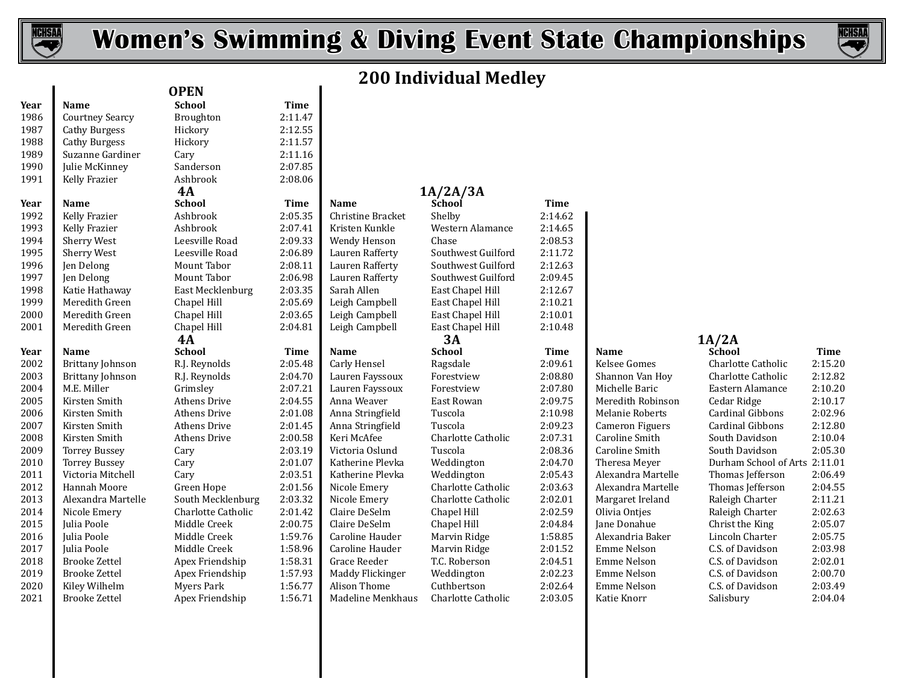



## **200 Individual Medley**

| 1987                | <b>Courtney Searcy</b>                       | Broughton                          | 2:11.47            |                                  |                             |                    |                            |                                      |                  |
|---------------------|----------------------------------------------|------------------------------------|--------------------|----------------------------------|-----------------------------|--------------------|----------------------------|--------------------------------------|------------------|
|                     | <b>Cathy Burgess</b>                         | Hickory                            | 2:12.55            |                                  |                             |                    |                            |                                      |                  |
| 1988                | <b>Cathy Burgess</b>                         | Hickory                            | 2:11.57            |                                  |                             |                    |                            |                                      |                  |
| 1989                | Suzanne Gardiner                             | Cary                               | 2:11.16            |                                  |                             |                    |                            |                                      |                  |
| 1990                | Julie McKinney                               | Sanderson                          | 2:07.85            |                                  |                             |                    |                            |                                      |                  |
| 1991                | Kelly Frazier                                | Ashbrook                           | 2:08.06            |                                  |                             |                    |                            |                                      |                  |
|                     |                                              | <b>4A</b>                          |                    |                                  | 1A/2A/3A                    |                    |                            |                                      |                  |
| Year<br><b>Name</b> |                                              | <b>School</b>                      | <b>Time</b>        | <b>Name</b>                      | School                      | <b>Time</b>        |                            |                                      |                  |
| 1992                | Kelly Frazier                                | Ashbrook                           | 2:05.35            | Christine Bracket                | Shelby                      | 2:14.62            |                            |                                      |                  |
| 1993                | Kelly Frazier                                | Ashbrook                           | 2:07.41            | Kristen Kunkle                   | Western Alamance            | 2:14.65            |                            |                                      |                  |
| 1994                | <b>Sherry West</b>                           | Leesville Road                     | 2:09.33            | Wendy Henson                     | Chase                       | 2:08.53            |                            |                                      |                  |
| 1995                | <b>Sherry West</b>                           | Leesville Road                     | 2:06.89            | Lauren Rafferty                  | Southwest Guilford          | 2:11.72            |                            |                                      |                  |
| 1996                | Jen Delong                                   | Mount Tabor                        | 2:08.11            | Lauren Rafferty                  | Southwest Guilford          | 2:12.63            |                            |                                      |                  |
| 1997                | Jen Delong                                   | Mount Tabor                        | 2:06.98            | Lauren Rafferty                  | Southwest Guilford          | 2:09.45            |                            |                                      |                  |
| 1998                | Katie Hathaway                               | East Mecklenburg                   | 2:03.35            | Sarah Allen                      | East Chapel Hill            | 2:12.67            |                            |                                      |                  |
| 1999                | Meredith Green                               | Chapel Hill                        | 2:05.69            | Leigh Campbell                   | East Chapel Hill            | 2:10.21            |                            |                                      |                  |
| 2000                | Meredith Green                               | Chapel Hill                        | 2:03.65            | Leigh Campbell                   | East Chapel Hill            | 2:10.01            |                            |                                      |                  |
|                     | Meredith Green                               | Chapel Hill                        | 2:04.81            | Leigh Campbell                   | East Chapel Hill            | 2:10.48            |                            |                                      |                  |
| 2001                |                                              |                                    |                    |                                  |                             |                    |                            |                                      |                  |
|                     |                                              | 4A                                 |                    |                                  | 3A                          |                    |                            | 1A/2A                                |                  |
| Year<br>Name        |                                              | <b>School</b>                      | Time               | <b>Name</b>                      | <b>School</b>               | Time               | <b>Name</b>                | School                               | Time             |
| 2002                | <b>Brittany Johnson</b>                      | R.J. Reynolds                      | 2:05.48            | Carly Hensel                     | Ragsdale                    | 2:09.61            | Kelsee Gomes               | Charlotte Catholic                   | 2:15.2           |
| 2003                | Brittany Johnson                             | R.J. Reynolds                      | 2:04.70            | Lauren Fayssoux                  | Forestview                  | 2:08.80            | Shannon Van Hoy            | Charlotte Catholic                   | 2:12.8           |
| 2004                | M.E. Miller                                  | Grimsley                           | 2:07.21            | Lauren Fayssoux                  | Forestview                  | 2:07.80            | Michelle Baric             | Eastern Alamance                     | 2:10.2           |
| 2005                | Kirsten Smith                                | <b>Athens Drive</b>                | 2:04.55            | Anna Weaver                      | East Rowan                  | 2:09.75            | Meredith Robinson          | Cedar Ridge                          | 2:10.1           |
| 2006                | Kirsten Smith                                | Athens Drive                       | 2:01.08            | Anna Stringfield                 | Tuscola                     | 2:10.98            | Melanie Roberts            | Cardinal Gibbons                     | 2:02.9           |
| 2007                | Kirsten Smith                                | Athens Drive                       | 2:01.45            | Anna Stringfield                 | Tuscola                     | 2:09.23            | Cameron Figuers            | Cardinal Gibbons                     | 2:12.8           |
| 2008                | Kirsten Smith                                | Athens Drive                       | 2:00.58            | Keri McAfee                      | Charlotte Catholic          | 2:07.31            | Caroline Smith             | South Davidson                       | 2:10.0           |
| 2009                | <b>Torrey Bussey</b>                         | Cary                               | 2:03.19            | Victoria Oslund                  | Tuscola                     | 2:08.36            | Caroline Smith             | South Davidson                       | 2:05.3           |
| 2010                | <b>Torrey Bussey</b>                         | Cary                               | 2:01.07            | Katherine Plevka                 | Weddington                  | 2:04.70            | Theresa Meyer              | Durham School of Arts 2:11.0         |                  |
| 2011                | Victoria Mitchell                            | Cary                               | 2:03.51            | Katherine Plevka                 | Weddington                  | 2:05.43            | Alexandra Martelle         | Thomas Jefferson                     | 2:06.4           |
| 2012                | Hannah Moore                                 | Green Hope                         | 2:01.56            | Nicole Emery                     | Charlotte Catholic          | 2:03.63            | Alexandra Martelle         | Thomas Jefferson                     | 2:04.5           |
| 2013                | Alexandra Martelle                           | South Mecklenburg                  | 2:03.32            | Nicole Emery                     | Charlotte Catholic          | 2:02.01            | Margaret Ireland           | Raleigh Charter                      | 2:11.2           |
| 2014                | Nicole Emery                                 | Charlotte Catholic                 | 2:01.42            | Claire DeSelm                    | Chapel Hill                 | 2:02.59            | Olivia Ontjes              | Raleigh Charter                      | 2:02.6           |
| 2015                | Julia Poole                                  | Middle Creek                       | 2:00.75            | Claire DeSelm                    | Chapel Hill                 | 2:04.84            | Jane Donahue               | Christ the King                      | 2:05.0           |
| 2016                | Julia Poole                                  | Middle Creek                       | 1:59.76            | Caroline Hauder                  | Marvin Ridge                | 1:58.85            | Alexandria Baker           | Lincoln Charter                      | 2:05.7           |
| 2017                | Julia Poole                                  | Middle Creek                       | 1:58.96            | Caroline Hauder                  | Marvin Ridge                | 2:01.52            | Emme Nelson                | C.S. of Davidson                     | 2:03.9           |
| 2018<br>2019        | <b>Brooke Zettel</b><br><b>Brooke Zettel</b> | Apex Friendship<br>Apex Friendship | 1:58.31<br>1:57.93 | Grace Reeder<br>Maddy Flickinger | T.C. Roberson<br>Weddington | 2:04.51<br>2:02.23 | Emme Nelson<br>Emme Nelson | C.S. of Davidson<br>C.S. of Davidson | 2:02.0<br>2:00.7 |

**Year Name School Time OPEN**

# **4A 1A/2A/3A**

| <b>Ashbrook</b>     | 2:08.06     |                   |                    |             |                    |               |
|---------------------|-------------|-------------------|--------------------|-------------|--------------------|---------------|
| 4А                  |             |                   | 1A/2A/3A           |             |                    |               |
| <b>school</b>       | <b>Time</b> | <b>Name</b>       | School             | <b>Time</b> |                    |               |
| <b>Ashbrook</b>     | 2:05.35     | Christine Bracket | Shelby             | 2:14.62     |                    |               |
| <b>Ashbrook</b>     | 2:07.41     | Kristen Kunkle    | Western Alamance   | 2:14.65     |                    |               |
| eesville Road       | 2:09.33     | Wendy Henson      | Chase              | 2:08.53     |                    |               |
| eesville Road       | 2:06.89     | Lauren Rafferty   | Southwest Guilford | 2:11.72     |                    |               |
| Mount Tabor         | 2:08.11     | Lauren Rafferty   | Southwest Guilford | 2:12.63     |                    |               |
| Mount Tabor         | 2:06.98     | Lauren Rafferty   | Southwest Guilford | 2:09.45     |                    |               |
| East Mecklenburg    | 2:03.35     | Sarah Allen       | East Chapel Hill   | 2:12.67     |                    |               |
| hapel Hill.         | 2:05.69     | Leigh Campbell    | East Chapel Hill   | 2:10.21     |                    |               |
| hapel Hill          | 2:03.65     | Leigh Campbell    | East Chapel Hill   | 2:10.01     |                    |               |
| hapel Hill.         | 2:04.81     | Leigh Campbell    | East Chapel Hill   | 2:10.48     |                    |               |
| 4А                  |             |                   | 3А                 |             |                    | 1A/2A         |
| <b>school</b>       | Time        | <b>Name</b>       | <b>School</b>      | <b>Time</b> | <b>Name</b>        | Schoo         |
| <b>LJ.</b> Reynolds | 2:05.48     | Carly Hensel      | Ragsdale           | 2:09.61     | Kelsee Gomes       | Charlo        |
| र.J. Reynolds       | 2:04.70     | Lauren Fayssoux   | Forestview         | 2:08.80     | Shannon Van Hoy    | Charlo        |
| <b>Frimsley</b>     | 2:07.21     | Lauren Fayssoux   | Forestview         | 2:07.80     | Michelle Baric     | <b>Easter</b> |
| Athens Drive        | 2:04.55     | Anna Weaver       | East Rowan         | 2:09.75     | Meredith Robinson  | Cedar         |
| Athens Drive        | 2:01.08     | Anna Stringfield  | Tuscola            | 2:10.98     | Melanie Roberts    | Cardin        |
| Athens Drive        | 2:01.45     | Anna Stringfield  | Tuscola            | 2:09.23     | Cameron Figuers    | Cardin        |
| Athens Drive        | 2:00.58     | Keri McAfee       | Charlotte Catholic | 2:07.31     | Caroline Smith     | South 1       |
| `ary                | 2:03.19     | Victoria Oslund   | Tuscola            | 2:08.36     | Caroline Smith     | South 1       |
| `ary                | 2:01.07     | Katherine Plevka  | Weddington         | 2:04.70     | Theresa Meyer      | Durhai        |
| `ary                | 2:03.51     | Katherine Plevka  | Weddington         | 2:05.43     | Alexandra Martelle | Thoma         |
| Freen Hope          | 2:01.56     | Nicole Emery      | Charlotte Catholic | 2:03.63     | Alexandra Martelle | Thoma         |
| South Mecklenburg   | 2:03.32     | Nicole Emery      | Charlotte Catholic | 2:02.01     | Margaret Ireland   | Raleigl       |
| Charlotte Catholic  | 2:01.42     | Claire DeSelm     | Chapel Hill        | 2:02.59     | Olivia Ontjes      | Raleigl       |
| Middle Creek        | 2:00.75     | Claire DeSelm     | Chapel Hill        | 2:04.84     | Jane Donahue       | Christ        |
| Middle Creek        | 1:59.76     | Caroline Hauder   | Marvin Ridge       | 1:58.85     | Alexandria Baker   | Lincoli       |
| Middle Creek        | 1:58.96     | Caroline Hauder   | Marvin Ridge       | 2:01.52     | Emme Nelson        | C.S. of       |
| Apex Friendship     | 1:58.31     | Grace Reeder      | T.C. Roberson      | 2:04.51     | Emme Nelson        | C.S. of       |
| Apex Friendship     | 1:57.93     | Maddy Flickinger  | Weddington         | 2:02.23     | Emme Nelson        | C.S. of       |
| Myers Park          | 1:56.77     | Alison Thome      | Cuthbertson        | 2:02.64     | <b>Emme Nelson</b> | C.S. of       |
| lnov Friandchin     | 1.5671      | Madeline Menkhaus | Charlotte Catholic | 2.03 U.C    | Katie Knorr        | Salichi       |

 Brittany Johnson R.J. Reynolds 2:05.48 Carly Hensel Ragsdale 2:09.61 Kelsee Gomes Charlotte Catholic 2:15.20 Brittany Johnson R.J. Reynolds 2:04.70 Lauren Fayssoux Forestview 2:08.80 Shannon Van Hoy Charlotte Catholic 2:12.82 M.E. Miller Grimsley 2:07.21 Lauren Fayssoux Forestview 2:07.80 Michelle Baric Eastern Alamance 2:10.20 Kirsten Smith Athens Drive 2:04.55 Anna Weaver East Rowan 2:09.75 Meredith Robinson Cedar Ridge 2:10.17 Kirsten Smith Athens Drive 2:01.08 Anna Stringfield Tuscola 2:10.98 Melanie Roberts Cardinal Gibbons 2:02.96 Kirsten Smith Athens Drive 2:01.45 Anna Stringfield Tuscola 2:09.23 Cameron Figuers Cardinal Gibbons 2:12.80 Kirsten Smith Athens Drive 2:00.58 Keri McAfee Charlotte Catholic 2:07.31 Caroline Smith South Davidson 2:10.04 Torrey Bussey Cary 2:03.19 Victoria Oslund Tuscola 2:08.36 Caroline Smith South Davidson 2:05.30 2010 Torrey Bussey Cary 2:01.07 Katherine Plevka Weddington 2:04.70 Theresa Meyer Durham School of Arts 2:11.01<br>2011 Victoria Mitchell Cary 2:03.51 Katherine Plevka Weddington 2:05.43 Alexandra Martelle Thomas Jefferson 2: Victoria Mitchell Cary 2:03.51 Katherine Plevka Weddington 2:05.43 Alexandra Martelle Thomas Jefferson 2:06.49 Hannah Moore Green Hope 2:01.56 Nicole Emery Charlotte Catholic 2:03.63 Alexandra Martelle Thomas Jefferson 2:04.55 Alexandra Martelle South Mecklenburg 2:03.32 Nicole Emery Charlotte Catholic 2:02.01 Margaret Ireland Raleigh Charter 2:11.21 Nicole Emery Charlotte Catholic 2:01.42 Claire DeSelm Chapel Hill 2:02.59 Olivia Ontjes Raleigh Charter 2:02.63 Julia Poole Middle Creek 2:00.75 Claire DeSelm Chapel Hill 2:04.84 Jane Donahue Christ the King 2:05.07 Julia Poole Middle Creek 1:59.76 Caroline Hauder Marvin Ridge 1:58.85 Alexandria Baker Lincoln Charter 2:05.75 Julia Poole Middle Creek 1:58.96 Caroline Hauder Marvin Ridge 2:01.52 Emme Nelson C.S. of Davidson 2:03.98 Brooke Zettel Apex Friendship 1:58.31 Grace Reeder T.C. Roberson 2:04.51 Emme Nelson C.S. of Davidson 2:02.01 Brooke Zettel Apex Friendship 1:57.93 Maddy Flickinger Weddington 2:02.23 Emme Nelson C.S. of Davidson 2:00.70 Kiley Wilhelm Myers Park 1:56.77 Alison Thome Cuthbertson 2:02.64 Emme Nelson C.S. of Davidson 2:03.49 Brooke Zettel Apex Friendship 1:56.71 Madeline Menkhaus Charlotte Catholic 2:03.05 Katie Knorr Salisbury 2:04.04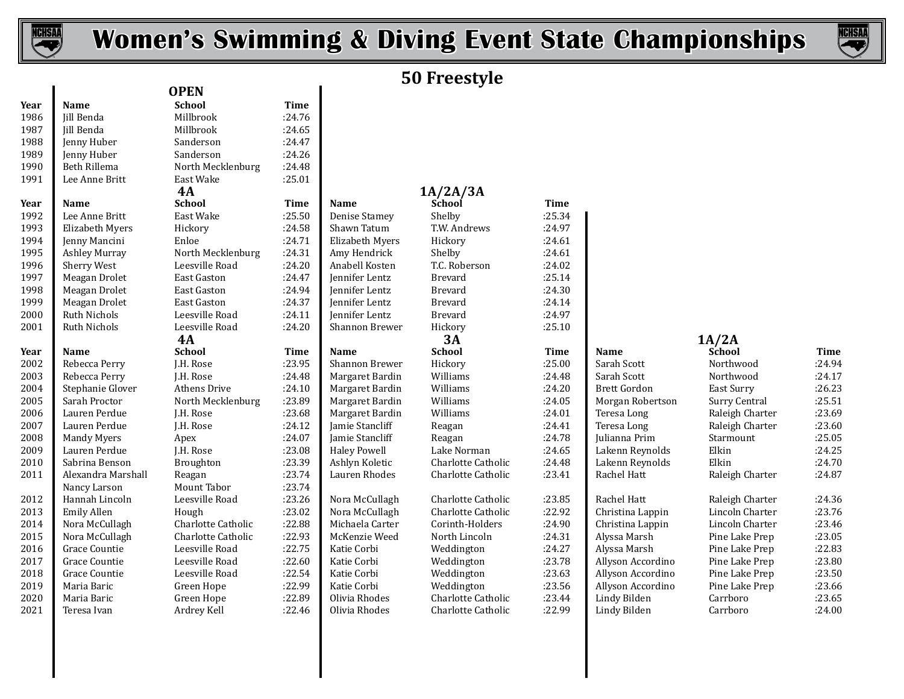

I

# **Women's Swimming & Diving Event State Championships**



# **50 Freestyle**

| Year | <b>Name</b>            | <b>School</b>       | Time   |
|------|------------------------|---------------------|--------|
| 1986 | <b>Jill Benda</b>      | Millbrook           | :24.76 |
| 1987 | Jill Benda             | Millbrook           | :24.65 |
| 1988 | Jenny Huber            | Sanderson           | :24.47 |
| 1989 | Jenny Huber            | Sanderson           | :24.26 |
| 1990 | <b>Beth Rillema</b>    | North Mecklenburg   | :24.48 |
| 1991 | Lee Anne Britt         | East Wake           | :25.01 |
|      |                        | 4A                  |        |
| Year | Name                   | <b>School</b>       | Time   |
| 1992 | Lee Anne Britt         | East Wake           | :25.50 |
| 1993 | <b>Elizabeth Myers</b> | Hickory             | :24.58 |
| 1994 | Jenny Mancini          | Enloe               | :24.71 |
| 1995 | <b>Ashley Murray</b>   | North Mecklenburg   | :24.31 |
| 1996 | <b>Sherry West</b>     | Leesville Road      | :24.20 |
| 1997 | Meagan Drolet          | <b>East Gaston</b>  | :24.47 |
| 1998 | Meagan Drolet          | East Gaston         | :24.94 |
| 1999 | Meagan Drolet          | East Gaston         | :24.37 |
| 2000 | <b>Ruth Nichols</b>    | Leesville Road      | :24.11 |
| 2001 | <b>Ruth Nichols</b>    | Leesville Road      | :24.20 |
|      |                        | 4A                  |        |
| Year | Name                   | School              | Time   |
| 2002 | Rebecca Perry          | J.H. Rose           | :23.95 |
| 2003 | Rebecca Perry          | J.H. Rose           | :24.48 |
| 2004 | Stephanie Glover       | <b>Athens Drive</b> | :24.10 |
| 2005 | Sarah Proctor          | North Mecklenburg   | :23.89 |
| 2006 | Lauren Perdue          | J.H. Rose           | :23.68 |
| 2007 | Lauren Perdue          | J.H. Rose           | :24.12 |
| 2008 | <b>Mandy Myers</b>     | Apex                | :24.07 |
| 2009 | Lauren Perdue          | J.H. Rose           | :23.08 |
| 2010 | Sabrina Benson         | Broughton           | :23.39 |
| 2011 | Alexandra Marshall     | Reagan              | :23.74 |
|      | Nancy Larson           | Mount Tabor         | :23.74 |
| 2012 | Hannah Lincoln         | Leesville Road      | :23.26 |
| 2013 | <b>Emily Allen</b>     | Hough               | :23.02 |
| 2014 | Nora McCullagh         | Charlotte Catholic  | :22.88 |
| 2015 | Nora McCullagh         | Charlotte Catholic  | :22.93 |
| 2016 | <b>Grace Countie</b>   | Leesville Road      | :22.75 |
| 2017 | <b>Grace Countie</b>   | Leesville Road      | :22.60 |
| 2018 | <b>Grace Countie</b>   | Leesville Road      | :22.54 |
| 2019 | Maria Baric            | Green Hope          | :22.99 |
| 2020 | Maria Baric            | Green Hope          | :22.89 |
| 2021 | Teresa Ivan            | Ardrey Kell         | :22.46 |
|      |                        |                     |        |

1988 Sanderson :24.26<br>North Mecklenburg :24.48 1991 North Mecklenburg :24.48<br>East Wake :25.01 East Wake **4A** Mount Tabor :23.74<br>
Leesville Road :23.26 **OPEN 4A 1A/2A/3A**

| 1990 | Beth Rillema         | North Mecklenburg   | :24.48      |                       |                    |             |                     |         |
|------|----------------------|---------------------|-------------|-----------------------|--------------------|-------------|---------------------|---------|
| 1991 | Lee Anne Britt       | East Wake           | :25.01      |                       |                    |             |                     |         |
|      |                      | 4A                  |             |                       | 1A/2A/3A           |             |                     |         |
| Year | Name                 | <b>School</b>       | <b>Time</b> | Name                  | School             | <b>Time</b> |                     |         |
| 1992 | Lee Anne Britt       | East Wake           | :25.50      | <b>Denise Stamey</b>  | Shelby             | :25.34      |                     |         |
| 1993 | Elizabeth Myers      | Hickory             | :24.58      | Shawn Tatum           | T.W. Andrews       | :24.97      |                     |         |
| 1994 | Jenny Mancini        | Enloe               | :24.71      | Elizabeth Myers       | Hickory            | :24.61      |                     |         |
| 1995 | <b>Ashley Murray</b> | North Mecklenburg   | :24.31      | Amy Hendrick          | Shelby             | :24.61      |                     |         |
| 1996 | Sherry West          | Leesville Road      | :24.20      | Anabell Kosten        | T.C. Roberson      | :24.02      |                     |         |
| 1997 | Meagan Drolet        | <b>East Gaston</b>  | :24.47      | Jennifer Lentz        | <b>Brevard</b>     | :25.14      |                     |         |
| 1998 | Meagan Drolet        | East Gaston         | :24.94      | Jennifer Lentz        | <b>Brevard</b>     | :24.30      |                     |         |
| 1999 | Meagan Drolet        | East Gaston         | :24.37      | Jennifer Lentz        | <b>Brevard</b>     | :24.14      |                     |         |
| 2000 | <b>Ruth Nichols</b>  | Leesville Road      | :24.11      | Jennifer Lentz        | <b>Brevard</b>     | :24.97      |                     |         |
| 2001 | <b>Ruth Nichols</b>  | Leesville Road      | :24.20      | <b>Shannon Brewer</b> | Hickory            | :25.10      |                     |         |
|      |                      | 4A                  |             |                       | 3A                 |             |                     | 1A/2A   |
| Year | <b>Name</b>          | <b>School</b>       | <b>Time</b> | <b>Name</b>           | <b>School</b>      | <b>Time</b> | <b>Name</b>         | Schoo   |
| 2002 | Rebecca Perry        | J.H. Rose           | :23.95      | <b>Shannon Brewer</b> | Hickory            | :25.00      | Sarah Scott         | Northy  |
| 2003 | Rebecca Perry        | J.H. Rose           | :24.48      | Margaret Bardin       | Williams           | :24.48      | Sarah Scott         | Northy  |
| 2004 | Stephanie Glover     | <b>Athens Drive</b> | :24.10      | Margaret Bardin       | Williams           | :24.20      | <b>Brett Gordon</b> | East Su |
| 2005 | Sarah Proctor        | North Mecklenburg   | :23.89      | Margaret Bardin       | Williams           | :24.05      | Morgan Robertson    | Surry ( |
| 2006 | Lauren Perdue        | J.H. Rose           | :23.68      | Margaret Bardin       | Williams           | :24.01      | Teresa Long         | Raleigl |
| 2007 | Lauren Perdue        | J.H. Rose           | :24.12      | Jamie Stancliff       | Reagan             | :24.41      | Teresa Long         | Raleigl |
| 2008 | <b>Mandy Myers</b>   | Apex                | :24.07      | Jamie Stancliff       | Reagan             | :24.78      | Julianna Prim       | Starmo  |
| 2009 | Lauren Perdue        | J.H. Rose           | :23.08      | <b>Haley Powell</b>   | Lake Norman        | :24.65      | Lakenn Reynolds     | Elkin   |
| 2010 | Sabrina Benson       | Broughton           | :23.39      | Ashlyn Koletic        | Charlotte Catholic | :24.48      | Lakenn Reynolds     | Elkin   |
| 2011 | Alexandra Marshall   | Reagan              | :23.74      | Lauren Rhodes         | Charlotte Catholic | :23.41      | Rachel Hatt         | Raleigl |
|      | Nancy Larson         | Mount Tabor         | :23.74      |                       |                    |             |                     |         |
| 2012 | Hannah Lincoln       | Leesville Road      | :23.26      | Nora McCullagh        | Charlotte Catholic | :23.85      | Rachel Hatt         | Raleigl |
| 2013 | <b>Emily Allen</b>   | Hough               | :23.02      | Nora McCullagh        | Charlotte Catholic | :22.92      | Christina Lappin    | Lincoli |
| 2014 | Nora McCullagh       | Charlotte Catholic  | :22.88      | Michaela Carter       | Corinth-Holders    | :24.90      | Christina Lappin    | Lincolı |
| 2015 | Nora McCullagh       | Charlotte Catholic  | :22.93      | McKenzie Weed         | North Lincoln      | :24.31      | Alyssa Marsh        | Pine La |
| 2016 | Grace Countie        | Leesville Road      | :22.75      | Katie Corbi           | Weddington         | :24.27      | Alyssa Marsh        | Pine La |
| 2017 | Grace Countie        | Leesville Road      | :22.60      | Katie Corbi           | Weddington         | :23.78      | Allyson Accordino   | Pine La |
| 2018 | Grace Countie        | Leesville Road      | :22.54      | Katie Corbi           | Weddington         | :23.63      | Allyson Accordino   | Pine La |
| 2019 | Maria Baric          | Green Hope          | :22.99      | Katie Corbi           | Weddington         | :23.56      | Allyson Accordino   | Pine La |
| 2020 | Maria Baric          | Green Hope          | :22.89      | Olivia Rhodes         | Charlotte Catholic | :23.44      | Lindy Bilden        | Carrbo  |
| 2021 | Teresa Ivan          | Ardrey Kell         | :22.46      | Olivia Rhodes         | Charlotte Catholic | :22.99      | Lindy Bilden        | Carrbo  |

|--|--|--|

| Year | Name               | <b>School</b>      | Time   | Name            | <b>School</b>      | Time   | Name              | School          | Time   |
|------|--------------------|--------------------|--------|-----------------|--------------------|--------|-------------------|-----------------|--------|
| 2002 | Rebecca Perry      | J.H. Rose          | :23.95 | Shannon Brewer  | Hickory            | :25.00 | Sarah Scott       | Northwood       | :24.94 |
| 2003 | Rebecca Perry      | J.H. Rose          | :24.48 | Margaret Bardin | Williams           | :24.48 | Sarah Scott       | Northwood       | :24.17 |
| 2004 | Stephanie Glover   | Athens Drive       | :24.10 | Margaret Bardin | Williams           | :24.20 | Brett Gordon      | East Surry      | :26.23 |
| 2005 | Sarah Proctor      | North Mecklenburg  | :23.89 | Margaret Bardin | Williams           | :24.05 | Morgan Robertson  | Surry Central   | :25.51 |
| 2006 | Lauren Perdue      | J.H. Rose          | :23.68 | Margaret Bardin | Williams           | :24.01 | Teresa Long       | Raleigh Charter | :23.69 |
| 2007 | Lauren Perdue      | J.H. Rose          | :24.12 | Jamie Stancliff | Reagan             | :24.41 | Teresa Long       | Raleigh Charter | :23.60 |
| 2008 | Mandy Myers        | Apex               | :24.07 | Jamie Stancliff | Reagan             | :24.78 | Julianna Prim     | Starmount       | :25.05 |
| 2009 | Lauren Perdue      | J.H. Rose          | :23.08 | Haley Powell    | Lake Norman        | :24.65 | Lakenn Reynolds   | Elkin           | :24.25 |
| 2010 | Sabrina Benson     | Broughton          | :23.39 | Ashlyn Koletic  | Charlotte Catholic | :24.48 | Lakenn Reynolds   | Elkin           | :24.70 |
| 2011 | Alexandra Marshall | Reagan             | :23.74 | Lauren Rhodes   | Charlotte Catholic | :23.41 | Rachel Hatt       | Raleigh Charter | :24.87 |
|      | Nancy Larson       | Mount Tabor        | :23.74 |                 |                    |        |                   |                 |        |
| 2012 | Hannah Lincoln     | Leesville Road     | :23.26 | Nora McCullagh  | Charlotte Catholic | :23.85 | Rachel Hatt       | Raleigh Charter | :24.36 |
| 2013 | Emily Allen        | Hough              | :23.02 | Nora McCullagh  | Charlotte Catholic | :22.92 | Christina Lappin  | Lincoln Charter | :23.76 |
| 2014 | Nora McCullagh     | Charlotte Catholic | :22.88 | Michaela Carter | Corinth-Holders    | :24.90 | Christina Lappin  | Lincoln Charter | :23.46 |
| 2015 | Nora McCullagh     | Charlotte Catholic | :22.93 | McKenzie Weed   | North Lincoln      | :24.31 | Alyssa Marsh      | Pine Lake Prep  | :23.05 |
| 2016 | Grace Countie      | Leesville Road     | :22.75 | Katie Corbi     | Weddington         | :24.27 | Alyssa Marsh      | Pine Lake Prep  | :22.83 |
| 2017 | Grace Countie      | Leesville Road     | :22.60 | Katie Corbi     | Weddington         | :23.78 | Allyson Accordino | Pine Lake Prep  | :23.80 |
| 2018 | Grace Countie      | Leesville Road     | :22.54 | Katie Corbi     | Weddington         | :23.63 | Allyson Accordino | Pine Lake Prep  | :23.50 |
| 2019 | Maria Baric        | Green Hope         | :22.99 | Katie Corbi     | Weddington         | :23.56 | Allyson Accordino | Pine Lake Prep  | :23.66 |
| 2020 | Maria Baric        | Green Hope         | :22.89 | Olivia Rhodes   | Charlotte Catholic | :23.44 | Lindy Bilden      | Carrboro        | :23.65 |
| 2021 | Teresa Ivan        | Ardrey Kell        | :22.46 | Olivia Rhodes   | Charlotte Catholic | :22.99 | Lindy Bilden      | Carrboro        | :24.00 |
|      |                    |                    |        |                 |                    |        |                   |                 |        |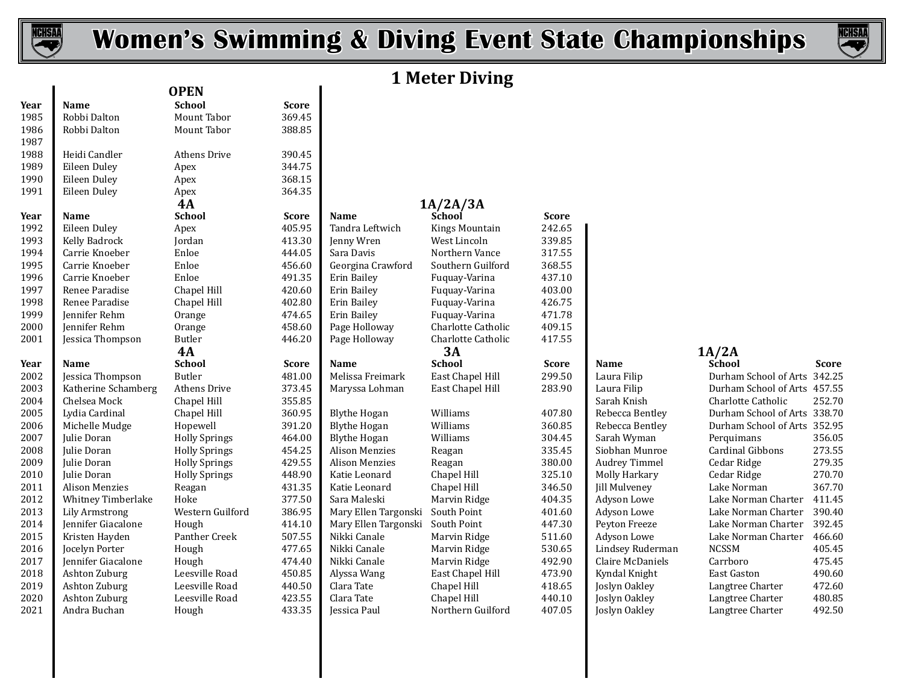



# **1 Meter Diving**

|              |                               | <b>OPEN</b>             |                  |                            |                                  |                  |                                |                                      |                  |
|--------------|-------------------------------|-------------------------|------------------|----------------------------|----------------------------------|------------------|--------------------------------|--------------------------------------|------------------|
| Year         | <b>Name</b>                   | <b>School</b>           | <b>Score</b>     |                            |                                  |                  |                                |                                      |                  |
| 1985         | Robbi Dalton                  | Mount Tabor             | 369.45           |                            |                                  |                  |                                |                                      |                  |
| 1986         | Robbi Dalton                  | Mount Tabor             | 388.85           |                            |                                  |                  |                                |                                      |                  |
| 1987         |                               |                         |                  |                            |                                  |                  |                                |                                      |                  |
| 1988         | Heidi Candler                 | Athens Drive            | 390.45           |                            |                                  |                  |                                |                                      |                  |
| 1989         | Eileen Duley                  | Apex                    | 344.75           |                            |                                  |                  |                                |                                      |                  |
| 1990         | Eileen Duley                  | Apex                    | 368.15           |                            |                                  |                  |                                |                                      |                  |
| 1991         | Eileen Duley                  | Apex                    | 364.35           |                            |                                  |                  |                                |                                      |                  |
|              |                               | 4A                      |                  |                            | 1A/2A/3A                         |                  |                                |                                      |                  |
| Year         | Name                          | <b>School</b>           | <b>Score</b>     | <b>Name</b>                | School                           | <b>Score</b>     |                                |                                      |                  |
| 1992         | Eileen Duley                  | Apex                    | 405.95           | Tandra Leftwich            | Kings Mountain                   | 242.65           |                                |                                      |                  |
| 1993         | Kelly Badrock                 | Jordan                  | 413.30           | Jenny Wren                 | West Lincoln                     | 339.85           |                                |                                      |                  |
| 1994         | Carrie Knoeber                | Enloe                   | 444.05           | Sara Davis                 | Northern Vance                   | 317.55           |                                |                                      |                  |
| 1995         | Carrie Knoeber                | Enloe                   | 456.60           | Georgina Crawford          | Southern Guilford                | 368.55           |                                |                                      |                  |
| 1996         | Carrie Knoeber                | Enloe                   | 491.35           | Erin Bailey                | Fuquay-Varina                    | 437.10           |                                |                                      |                  |
| 1997         | Renee Paradise                | Chapel Hill             | 420.60           | Erin Bailey                | Fuquay-Varina                    | 403.00           |                                |                                      |                  |
| 1998         | Renee Paradise                | Chapel Hill             | 402.80           | Erin Bailey                | Fuquay-Varina                    | 426.75           |                                |                                      |                  |
| 1999         | Jennifer Rehm                 | Orange                  | 474.65           | Erin Bailey                | Fuquay-Varina                    | 471.78           |                                |                                      |                  |
| 2000         | Jennifer Rehm                 | Orange                  | 458.60           | Page Holloway              | Charlotte Catholic               | 409.15           |                                |                                      |                  |
| 2001         | Jessica Thompson              | Butler                  | 446.20           | Page Holloway              | Charlotte Catholic               | 417.55           |                                |                                      |                  |
|              |                               | <b>4A</b>               |                  |                            | 3A                               |                  |                                | 1A/2A                                |                  |
| Year         | Name                          | <b>School</b>           | Score            | <b>Name</b>                | School                           | <b>Score</b>     | Name                           | School                               | <b>Score</b>     |
|              |                               |                         |                  |                            |                                  |                  |                                |                                      |                  |
| 2002         | Jessica Thompson              | Butler                  | 481.00           | Melissa Freimark           | East Chapel Hill                 | 299.50           | Laura Filip                    | Durham School of Arts 342.25         |                  |
| 2003         | Katherine Schamberg           | Athens Drive            | 373.45           | Maryssa Lohman             | East Chapel Hill                 | 283.90           | Laura Filip                    | Durham School of Arts 457.55         |                  |
| 2004         | Chelsea Mock                  | Chapel Hill             | 355.85           |                            |                                  |                  | Sarah Knish                    | Charlotte Catholic                   | 252.70           |
| 2005         | Lydia Cardinal                | Chapel Hill             | 360.95           | <b>Blythe Hogan</b>        | Williams                         | 407.80           | Rebecca Bentley                | Durham School of Arts 338.70         |                  |
| 2006         | Michelle Mudge                | Hopewell                | 391.20           | <b>Blythe Hogan</b>        | Williams                         | 360.85           | Rebecca Bentley                | Durham School of Arts 352.95         |                  |
| 2007         | Julie Doran                   | <b>Holly Springs</b>    | 464.00           | <b>Blythe Hogan</b>        | Williams                         | 304.45           | Sarah Wyman                    | Perquimans                           | 356.05           |
| 2008         | Julie Doran                   | <b>Holly Springs</b>    | 454.25           | <b>Alison Menzies</b>      | Reagan                           | 335.45           | Siobhan Munroe                 | Cardinal Gibbons                     | 273.55           |
| 2009         | Julie Doran                   | <b>Holly Springs</b>    | 429.55           | <b>Alison Menzies</b>      | Reagan                           | 380.00           | <b>Audrey Timmel</b>           | Cedar Ridge                          | 279.35           |
| 2010         | Julie Doran                   | <b>Holly Springs</b>    | 448.90           | Katie Leonard              | Chapel Hill                      | 325.10           | Molly Harkary                  | Cedar Ridge                          | 270.70           |
| 2011         | <b>Alison Menzies</b>         | Reagan                  | 431.35           | Katie Leonard              | Chapel Hill                      | 346.50           | <b>Jill Mulveney</b>           | Lake Norman                          | 367.70           |
| 2012         | Whitney Timberlake            | Hoke                    | 377.50           | Sara Maleski               | Marvin Ridge                     | 404.35           | Adyson Lowe                    | Lake Norman Charter                  | 411.45           |
| 2013         | <b>Lily Armstrong</b>         | Western Guilford        | 386.95           | Mary Ellen Targonski       | South Point                      | 401.60           | Adyson Lowe                    | Lake Norman Charter                  | 390.40           |
| 2014         | Jennifer Giacalone            | Hough                   | 414.10           | Mary Ellen Targonski       | South Point                      | 447.30           | Peyton Freeze                  | Lake Norman Charter                  | 392.45           |
| 2015         | Kristen Hayden                | Panther Creek           | 507.55           | Nikki Canale               | Marvin Ridge                     | 511.60           | Adyson Lowe                    | Lake Norman Charter                  | 466.60           |
| 2016         | Jocelyn Porter                | Hough                   | 477.65           | Nikki Canale               | Marvin Ridge                     | 530.65           | Lindsey Ruderman               | <b>NCSSM</b>                         | 405.45           |
| 2017         | Jennifer Giacalone            | Hough                   | 474.40           | Nikki Canale               | Marvin Ridge                     | 492.90           | Claire McDaniels               | Carrboro                             | 475.45           |
| 2018         | Ashton Zuburg                 | Leesville Road          | 450.85           | Alyssa Wang                | East Chapel Hill                 | 473.90           | Kyndal Knight                  | <b>East Gaston</b>                   | 490.60           |
| 2019         | Ashton Zuburg                 | Leesville Road          | 440.50           | Clara Tate                 | Chapel Hill                      | 418.65           | Joslyn Oakley                  | Langtree Charter                     | 472.60           |
| 2020<br>2021 | Ashton Zuburg<br>Andra Buchan | Leesville Road<br>Hough | 423.55<br>433.35 | Clara Tate<br>Jessica Paul | Chapel Hill<br>Northern Guilford | 440.10<br>407.05 | Joslyn Oakley<br>Joslyn Oakley | Langtree Charter<br>Langtree Charter | 480.85<br>492.50 |

| Mount Tabor          | 369.45       |                       |                   |
|----------------------|--------------|-----------------------|-------------------|
| Mount Tabor          | 388.85       |                       |                   |
| Athens Drive         | 390.45       |                       |                   |
| <b>Apex</b>          | 344.75       |                       |                   |
| <b>Apex</b>          | 368.15       |                       |                   |
| <b>Apex</b>          | 364.35       |                       |                   |
| 4А                   |              |                       | 1A/2A/3A          |
| ichool               | <b>Score</b> | <b>Name</b>           | School            |
| Apex                 | 405.95       | Tandra Leftwich       | <b>Kings Moun</b> |
| ordan                | 413.30       | Jenny Wren            | West Lincoli      |
| Enloe                | 444.05       | Sara Davis            | Northern Va       |
| Enloe                | 456.60       | Georgina Crawford     | Southern Gu       |
| Enloe                | 491.35       | Erin Bailey           | Fuguay-Vari       |
| hapel Hill           | 420.60       | Erin Bailey           | Fuquay-Vari       |
| hapel Hill.          | 402.80       | Erin Bailey           | Fuguay-Vari       |
| )range               | 474.65       | Erin Bailey           | Fuquay-Vari       |
| )range               | 458.60       | Page Holloway         | Charlotte Ca      |
| 3utler               | 446.20       | Page Holloway         | Charlotte Ca      |
| 4А                   |              |                       | 3A                |
| school               | <b>Score</b> | <b>Name</b>           | <b>School</b>     |
| 3utler               | 481.00       | Melissa Freimark      | East Chapel       |
| Athens Drive         | 373.45       | Maryssa Lohman        | East Chapel       |
| Chapel Hill          | 355.85       |                       |                   |
| hapel Hill           | 360.95       | <b>Blythe Hogan</b>   | Williams          |
| <b>Iopewell</b>      | 391.20       | <b>Blythe Hogan</b>   | Williams          |
| <b>Jolly Springs</b> | 464.00       | <b>Blythe Hogan</b>   | Williams          |
| Iolly Springs        | 454.25       | <b>Alison Menzies</b> | Reagan            |
| <b>Holly Springs</b> | 429.55       | <b>Alison Menzies</b> | Reagan            |
| <b>Jolly Springs</b> | 448.90       | Katie Leonard         | Chapel Hill       |
| <b>Reagan</b>        | 431.35       | Katie Leonard         | Chapel Hill       |
| Ioke                 | 377.50       | Sara Maleski          | Marvin Ridg       |
| Vestern Guilford     | 386.95       | Mary Ellen Targonski  | South Point       |
| <b>Jough</b>         | 414.10       | Mary Ellen Targonski  | South Point       |
| Panther Creek        | 507.55       | Nikki Canale          | Marvin Ridg       |
| Iough                | 477.65       | Nikki Canale          | Marvin Ridg       |
| <b>Hough</b>         | 474.40       | Nikki Canale          | Marvin Ridg       |
| eesville Road        | 450.85       | Alyssa Wang           | East Chapel       |
| eesville Road        | 440.50       | Clara Tate            | Chapel Hill       |
| eesville Road        | 423.55       | Clara Tate            | Chapel Hill       |
| Iough                | 433.35       | Iessica Paul          | Northern Gu       |

| 390.45       |                       |                    |                                  |                      |                              |              |
|--------------|-----------------------|--------------------|----------------------------------|----------------------|------------------------------|--------------|
| 344.75       |                       |                    |                                  |                      |                              |              |
| 368.15       |                       |                    |                                  |                      |                              |              |
| 364.35       |                       |                    |                                  |                      |                              |              |
|              |                       |                    |                                  |                      |                              |              |
| <b>Score</b> | Name                  | School             | <b>Score</b>                     |                      |                              |              |
| 405.95       | Tandra Leftwich       | Kings Mountain     | 242.65                           |                      |                              |              |
| 413.30       | Jenny Wren            | West Lincoln       | 339.85                           |                      |                              |              |
| 444.05       | Sara Davis            | Northern Vance     | 317.55                           |                      |                              |              |
| 456.60       | Georgina Crawford     | Southern Guilford  | 368.55                           |                      |                              |              |
| 491.35       | Erin Bailey           | Fuquay-Varina      | 437.10                           |                      |                              |              |
| 420.60       | Erin Bailey           | Fuquay-Varina      | 403.00                           |                      |                              |              |
| 402.80       | Erin Bailey           | Fuquay-Varina      | 426.75                           |                      |                              |              |
| 474.65       | Erin Bailey           | Fuguay-Varina      | 471.78                           |                      |                              |              |
| 458.60       | Page Holloway         | Charlotte Catholic | 409.15                           |                      |                              |              |
| 446.20       | Page Holloway         | Charlotte Catholic | 417.55                           |                      |                              |              |
|              |                       | 3A                 |                                  |                      |                              |              |
| <b>Score</b> | Name                  | <b>School</b>      | <b>Score</b>                     | <b>Name</b>          | <b>School</b>                | <b>Score</b> |
| 481.00       | Melissa Freimark      | East Chapel Hill   | 299.50                           | Laura Filip          | Durham School of Arts 342.25 |              |
| 373.45       | Maryssa Lohman        | East Chapel Hill   | 283.90                           | Laura Filip          | Durham School of Arts 457.55 |              |
| 355.85       |                       |                    |                                  | Sarah Knish          | Charlotte Catholic           | 252.70       |
| 360.95       | <b>Blythe Hogan</b>   | Williams           | 407.80                           | Rebecca Bentley      | Durham School of Arts 338.70 |              |
| 391.20       | <b>Blythe Hogan</b>   | Williams           | 360.85                           | Rebecca Bentley      | Durham School of Arts 352.95 |              |
| 464.00       | <b>Blythe Hogan</b>   | Williams           | 304.45                           | Sarah Wyman          | Perquimans                   | 356.05       |
| 454.25       | <b>Alison Menzies</b> | Reagan             | 335.45                           | Siobhan Munroe       | <b>Cardinal Gibbons</b>      | 273.55       |
| 429.55       | <b>Alison Menzies</b> | Reagan             | 380.00                           | <b>Audrey Timmel</b> | Cedar Ridge                  | 279.35       |
| 448.90       | Katie Leonard         | Chapel Hill        | 325.10                           | Molly Harkary        | Cedar Ridge                  | 270.70       |
| 431.35       | Katie Leonard         | Chapel Hill        | 346.50                           | <b>Jill Mulveney</b> | Lake Norman                  | 367.70       |
| 377.50       | Sara Maleski          | Marvin Ridge       | 404.35                           | Adyson Lowe          | Lake Norman Charter          | 411.45       |
| 386.95       | Mary Ellen Targonski  | South Point        | 401.60                           | Adyson Lowe          | Lake Norman Charter          | 390.40       |
| 414.10       |                       | South Point        | 447.30                           | Peyton Freeze        | Lake Norman Charter          | 392.45       |
| 507.55       | Nikki Canale          | Marvin Ridge       | 511.60                           | Adyson Lowe          | Lake Norman Charter          | 466.60       |
| 477.65       | Nikki Canale          | Marvin Ridge       | 530.65                           | Lindsey Ruderman     | <b>NCSSM</b>                 | 405.45       |
| 474.40       | Nikki Canale          | Marvin Ridge       | 492.90                           | Claire McDaniels     | Carrboro                     | 475.45       |
| 450.85       | Alyssa Wang           | East Chapel Hill   | 473.90                           | Kyndal Knight        | East Gaston                  | 490.60       |
| 440.50       | Clara Tate            | Chapel Hill        | 418.65                           | Joslyn Oakley        | Langtree Charter             | 472.60       |
| 423.55       | Clara Tate            | Chapel Hill        | 440.10                           | Joslyn Oakley        | Langtree Charter             | 480.85       |
| 433.35       | Jessica Paul          | Northern Guilford  | 407.05                           | Joslyn Oakley        | Langtree Charter             | 492.50       |
|              |                       |                    | 1A/2A/3A<br>Mary Ellen Targonski |                      |                              | 1A/2A        |

| Name                 |
|----------------------|
| Laura Filip          |
| Laura Filip          |
| Sarah Knish          |
| Rebecca Bent         |
| Rebecca Bent         |
| Sarah Wymar          |
| Siobhan Mun          |
| <b>Audrey Timn</b>   |
| Molly Harkar         |
| <b>Jill Mulveney</b> |
| Adyson Lowe          |
| Adyson Lowe          |
| Peyton Freez         |
| Adyson Lowe          |
| Lindsey Rude         |
| Claire McDan         |
| Kyndal Knigh         |
| Joslyn Oakley        |
| Joslyn Oakley        |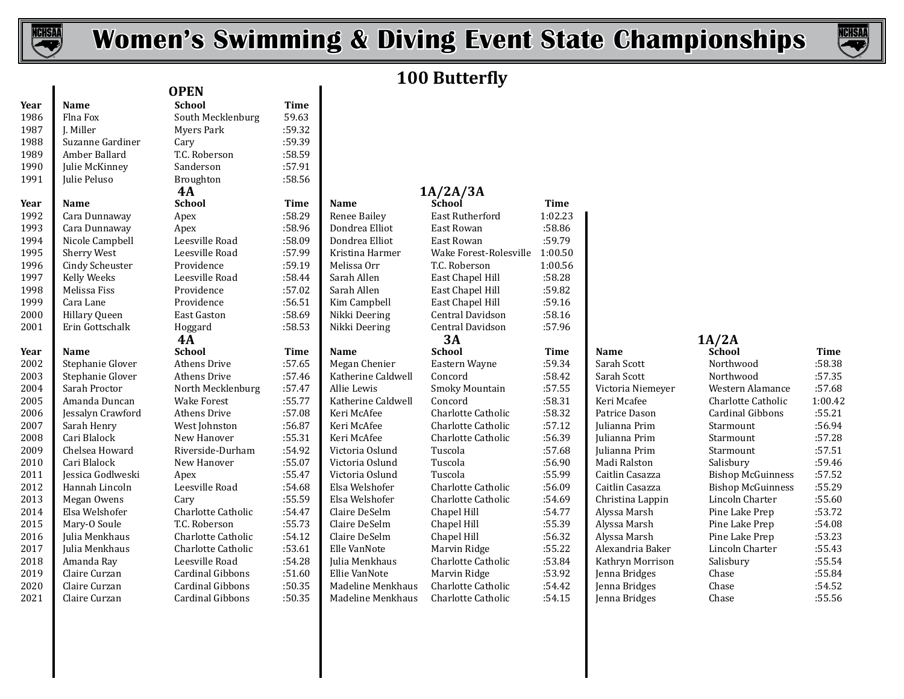



# **100 Butterfly**

| Year | Name                 | <b>School</b>             | Time   |
|------|----------------------|---------------------------|--------|
| 1986 | Flna Fox             | South Mecklenburg         | 59.63  |
| 1987 | J. Miller            | <b>Myers Park</b>         | :59.32 |
| 1988 | Suzanne Gardiner     | Cary                      | :59.39 |
| 1989 | Amber Ballard        | T.C. Roberson             | :58.59 |
| 1990 | Julie McKinney       | Sanderson                 | :57.91 |
| 1991 | Julie Peluso         | Broughton                 | :58.56 |
|      |                      | 4A                        |        |
| Year | Name                 | <b>School</b>             | Time   |
| 1992 | Cara Dunnaway        | Apex                      | :58.29 |
| 1993 | Cara Dunnaway        | Apex                      | :58.96 |
| 1994 | Nicole Campbell      | Leesville Road            | :58.09 |
| 1995 | <b>Sherry West</b>   | Leesville Road            | :57.99 |
| 1996 | Cindy Scheuster      | Providence                | :59.19 |
| 1997 | <b>Kelly Weeks</b>   | Leesville Road            | :58.44 |
| 1998 | Melissa Fiss         | Providence                | :57.02 |
| 1999 | Cara Lane            | Providence                | :56.51 |
| 2000 | <b>Hillary Queen</b> | <b>East Gaston</b>        | :58.69 |
| 2001 | Erin Gottschalk      | Hoggard                   | :58.53 |
|      |                      | 4A                        |        |
| Year | Name                 | <b>School</b>             | Time   |
| 2002 | Stephanie Glover     | <b>Athens Drive</b>       | :57.65 |
| 2003 | Stephanie Glover     | <b>Athens Drive</b>       | :57.46 |
| 2004 | Sarah Proctor        | North Mecklenburg         | :57.47 |
| 2005 | Amanda Duncan        | <b>Wake Forest</b>        | :55.77 |
| 2006 | Jessalyn Crawford    | <b>Athens Drive</b>       | :57.08 |
| 2007 | Sarah Henry          | West Johnston             | :56.87 |
| 2008 | Cari Blalock         | New Hanover               | :55.31 |
| 2009 | Chelsea Howard       | Riverside-Durham          | :54.92 |
| 2010 | Cari Blalock         | New Hanover               | :55.07 |
| 2011 | Jessica Godlweski    | Apex                      | :55.47 |
| 2012 | Hannah Lincoln       | Leesville Road            | :54.68 |
| 2013 | Megan Owens          | Cary                      | :55.59 |
| 2014 | Elsa Welshofer       | Charlotte Catholic        | :54.47 |
| 2015 | Mary-O Soule         | T.C. Roberson             | :55.73 |
| 2016 | Julia Menkhaus       | Charlotte Catholic        | :54.12 |
| 2017 | Julia Menkhaus       | <b>Charlotte Catholic</b> | :53.61 |
| 2018 | Amanda Ray           | Leesville Road            | :54.28 |
| 2019 | Claire Curzan        | <b>Cardinal Gibbons</b>   | :51.60 |
| 2020 | Claire Curzan        | Cardinal Gibbons          | :50.35 |
| 2021 | Claire Curzan        | Cardinal Gibbons          | :50.35 |

# South Mecklenburg 59.63<br>Myers Park :59.32 Myers Park :59.32<br>Cary :59.39 1.C. Roberson :58.59<br>Sanderson :57.91 Broughton  $\overline{4A}$  :58.56 **OPEN**

# **4A 1A/2A/3A**

|      |                    | 4H                      |          |                    | IA/ZA/3A               |             |                   |                          |         |
|------|--------------------|-------------------------|----------|--------------------|------------------------|-------------|-------------------|--------------------------|---------|
| Year | <b>Name</b>        | <b>School</b>           | Time     | Name               | <b>School</b>          | <b>Time</b> |                   |                          |         |
| 1992 | Cara Dunnaway      | Apex                    | :58.29   | Renee Bailey       | East Rutherford        | 1:02.23     |                   |                          |         |
| 1993 | Cara Dunnaway      | Apex                    | :58.96   | Dondrea Elliot     | East Rowan             | :58.86      |                   |                          |         |
| 1994 | Nicole Campbell    | Leesville Road          | :58.09   | Dondrea Elliot     | East Rowan             | :59.79      |                   |                          |         |
| 1995 | <b>Sherry West</b> | Leesville Road          | :57.99   | Kristina Harmer    | Wake Forest-Rolesville | 1:00.50     |                   |                          |         |
| 1996 | Cindy Scheuster    | Providence              | :59.19   | Melissa Orr        | T.C. Roberson          | 1:00.56     |                   |                          |         |
| 1997 | Kelly Weeks        | Leesville Road          | :58.44   | Sarah Allen        | East Chapel Hill       | :58.28      |                   |                          |         |
| 1998 | Melissa Fiss       | Providence              | :57.02   | Sarah Allen        | East Chapel Hill       | :59.82      |                   |                          |         |
| 1999 | Cara Lane          | Providence              | :56.51   | Kim Campbell       | East Chapel Hill       | :59.16      |                   |                          |         |
| 2000 | Hillary Queen      | <b>East Gaston</b>      | :58.69   | Nikki Deering      | Central Davidson       | :58.16      |                   |                          |         |
| 2001 | Erin Gottschalk    | Hoggard                 | :58.53   | Nikki Deering      | Central Davidson       | :57.96      |                   |                          |         |
|      |                    | 4A                      |          |                    | 3A                     |             |                   | 1A/2A                    |         |
| Year | <b>Name</b>        | <b>School</b>           | Time     | Name               | <b>School</b>          | Time        | <b>Name</b>       | School                   | Time    |
| 2002 | Stephanie Glover   | Athens Drive            | :57.65   | Megan Chenier      | Eastern Wayne          | :59.34      | Sarah Scott       | Northwood                | :58.38  |
| 2003 | Stephanie Glover   | Athens Drive            | :57.46   | Katherine Caldwell | Concord                | :58.42      | Sarah Scott       | Northwood                | :57.35  |
| 2004 | Sarah Proctor      | North Mecklenburg       | :57.47   | Allie Lewis        | <b>Smoky Mountain</b>  | :57.55      | Victoria Niemeyer | Western Alamance         | :57.68  |
| 2005 | Amanda Duncan      | <b>Wake Forest</b>      | :55.77   | Katherine Caldwell | Concord                | :58.31      | Keri Mcafee       | Charlotte Catholic       | 1:00.42 |
| 2006 | Jessalyn Crawford  | Athens Drive            | :57.08   | Keri McAfee        | Charlotte Catholic     | :58.32      | Patrice Dason     | Cardinal Gibbons         | :55.21  |
| 2007 | Sarah Henry        | West Johnston           | :56.87   | Keri McAfee        | Charlotte Catholic     | :57.12      | Julianna Prim     | Starmount                | :56.94  |
| 2008 | Cari Blalock       | New Hanover             | :55.31   | Keri McAfee        | Charlotte Catholic     | :56.39      | Julianna Prim     | Starmount                | :57.28  |
| 2009 | Chelsea Howard     | Riverside-Durham        | :54.92   | Victoria Oslund    | Tuscola                | :57.68      | Julianna Prim     | Starmount                | :57.51  |
| 2010 | Cari Blalock       | New Hanover             | :55.07   | Victoria Oslund    | Tuscola                | :56.90      | Madi Ralston      | Salisbury                | :59.46  |
| 2011 | Jessica Godlweski  | Apex                    | :55.47   | Victoria Oslund    | Tuscola                | :55.99      | Caitlin Casazza   | <b>Bishop McGuinness</b> | :57.52  |
| 2012 | Hannah Lincoln     | Leesville Road          | :54.68   | Elsa Welshofer     | Charlotte Catholic     | :56.09      | Caitlin Casazza   | <b>Bishop McGuinness</b> | :55.29  |
| 2013 | Megan Owens        | Cary                    | :55.59   | Elsa Welshofer     | Charlotte Catholic     | :54.69      | Christina Lappin  | Lincoln Charter          | :55.60  |
| 2014 | Elsa Welshofer     | Charlotte Catholic      | :54.47   | Claire DeSelm      | Chapel Hill            | :54.77      | Alyssa Marsh      | Pine Lake Prep           | :53.72  |
| 2015 | Mary-O Soule       | T.C. Roberson           | :55.73   | Claire DeSelm      | Chapel Hill            | :55.39      | Alyssa Marsh      | Pine Lake Prep           | :54.08  |
| 2016 | Julia Menkhaus     | Charlotte Catholic      | :54.12   | Claire DeSelm      | Chapel Hill            | :56.32      | Alyssa Marsh      | Pine Lake Prep           | :53.23  |
| 2017 | Julia Menkhaus     | Charlotte Catholic      | :53.61   | Elle VanNote       | Marvin Ridge           | :55.22      | Alexandria Baker  | Lincoln Charter          | :55.43  |
| 2018 | Amanda Ray         | Leesville Road          | :54.28   | Julia Menkhaus     | Charlotte Catholic     | :53.84      | Kathryn Morrison  | Salisbury                | :55.54  |
| 2019 | Claire Curzan      | <b>Cardinal Gibbons</b> | :51.60   | Ellie VanNote      | Marvin Ridge           | :53.92      | Jenna Bridges     | Chase                    | :55.84  |
| 2020 | Claire Curzan      | Cardinal Gibbons        | :50.35   | Madeline Menkhaus  | Charlotte Catholic     | :54.42      | Jenna Bridges     | Chase                    | :54.52  |
| 2021 | Claire Curzan      | Cardinal Gihhons        | $-50.35$ | Madeline Menkhaus  | Charlotte Catholic     | $-5415$     | Jenna Bridges     | Chase                    | $-5556$ |

| Ital | маше              | эспоот             | тице   | ічаше              | эспоот             | тице   | Name              | эспоот                   | тине    |
|------|-------------------|--------------------|--------|--------------------|--------------------|--------|-------------------|--------------------------|---------|
| 2002 | Stephanie Glover  | Athens Drive       | :57.65 | Megan Chenier      | Eastern Wayne      | :59.34 | Sarah Scott       | Northwood                | :58.38  |
| 2003 | Stephanie Glover  | Athens Drive       | :57.46 | Katherine Caldwell | Concord            | :58.42 | Sarah Scott       | Northwood                | :57.35  |
| 2004 | Sarah Proctor     | North Mecklenburg  | :57.47 | Allie Lewis        | Smoky Mountain     | :57.55 | Victoria Niemeyer | Western Alamance         | :57.68  |
| 2005 | Amanda Duncan     | <b>Wake Forest</b> | :55.77 | Katherine Caldwell | Concord            | :58.31 | Keri Mcafee       | Charlotte Catholic       | 1:00.42 |
| 2006 | Jessalyn Crawford | Athens Drive       | :57.08 | Keri McAfee        | Charlotte Catholic | :58.32 | Patrice Dason     | Cardinal Gibbons         | :55.21  |
| 2007 | Sarah Henry       | West Johnston      | :56.87 | Keri McAfee        | Charlotte Catholic | :57.12 | Julianna Prim     | Starmount                | :56.94  |
| 2008 | Cari Blalock      | New Hanover        | :55.31 | Keri McAfee        | Charlotte Catholic | :56.39 | Julianna Prim     | Starmount                | :57.28  |
| 2009 | Chelsea Howard    | Riverside-Durham   | :54.92 | Victoria Oslund    | Tuscola            | :57.68 | Julianna Prim     | Starmount                | :57.51  |
| 2010 | Cari Blalock      | New Hanover        | :55.07 | Victoria Oslund    | Tuscola            | :56.90 | Madi Ralston      | Salisbury                | :59.46  |
| 2011 | Jessica Godlweski | Apex               | :55.47 | Victoria Oslund    | Tuscola            | :55.99 | Caitlin Casazza   | <b>Bishop McGuinness</b> | :57.52  |
| 2012 | Hannah Lincoln    | Leesville Road     | :54.68 | Elsa Welshofer     | Charlotte Catholic | :56.09 | Caitlin Casazza   | <b>Bishop McGuinness</b> | :55.29  |
| 2013 | Megan Owens       | Cary               | :55.59 | Elsa Welshofer     | Charlotte Catholic | :54.69 | Christina Lappin  | Lincoln Charter          | :55.60  |
| 2014 | Elsa Welshofer    | Charlotte Catholic | :54.47 | Claire DeSelm      | Chapel Hill        | :54.77 | Alyssa Marsh      | Pine Lake Prep           | :53.72  |
| 2015 | Mary-O Soule      | T.C. Roberson      | :55.73 | Claire DeSelm      | Chapel Hill        | :55.39 | Alyssa Marsh      | Pine Lake Prep           | :54.08  |
| 2016 | Julia Menkhaus    | Charlotte Catholic | :54.12 | Claire DeSelm      | Chapel Hill        | :56.32 | Alyssa Marsh      | Pine Lake Prep           | :53.23  |
| 2017 | Julia Menkhaus    | Charlotte Catholic | :53.61 | Elle VanNote       | Marvin Ridge       | :55.22 | Alexandria Baker  | Lincoln Charter          | :55.43  |
| 2018 | Amanda Ray        | Leesville Road     | :54.28 | Julia Menkhaus     | Charlotte Catholic | :53.84 | Kathryn Morrison  | Salisbury                | :55.54  |
| 2019 | Claire Curzan     | Cardinal Gibbons   | :51.60 | Ellie VanNote      | Marvin Ridge       | :53.92 | Jenna Bridges     | Chase                    | :55.84  |
| 2020 | Claire Curzan     | Cardinal Gibbons   | :50.35 | Madeline Menkhaus  | Charlotte Catholic | :54.42 | Jenna Bridges     | Chase                    | :54.52  |
| 2021 | Claire Curzan     | Cardinal Gibbons   | :50.35 | Madeline Menkhaus  | Charlotte Catholic | :54.15 | Jenna Bridges     | Chase                    | :55.56  |
|      |                   |                    |        |                    |                    |        |                   |                          |         |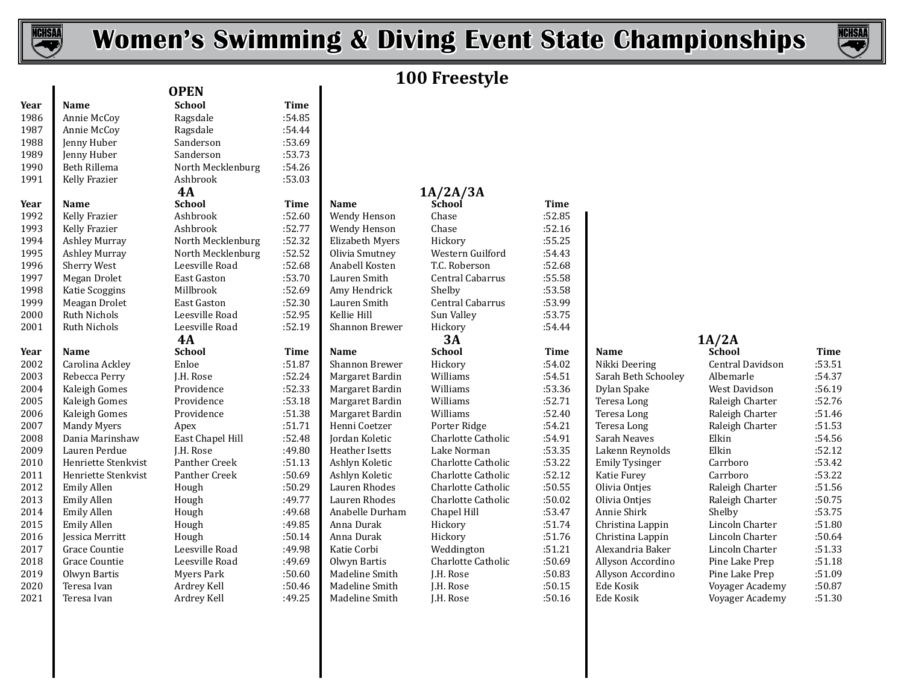

 $\overline{\phantom{a}}$ 

# **Women's Swimming & Diving Event State Championships**



# **100 Freestyle**

| Year | Name                 | <b>School</b>      | Time   |
|------|----------------------|--------------------|--------|
| 1986 | Annie McCoy          | Ragsdale           | :54.85 |
| 1987 | Annie McCoy          | Ragsdale           | :54.44 |
| 1988 | Jenny Huber          | Sanderson          | :53.69 |
| 1989 | Jenny Huber          | Sanderson          | :53.73 |
| 1990 | Beth Rillema         | North Mecklenburg  | :54.26 |
| 1991 | Kelly Frazier        | Ashbrook           | :53.03 |
|      |                      | 4A                 |        |
| Year | Name                 | <b>School</b>      | Time   |
| 1992 | Kelly Frazier        | Ashbrook           | :52.60 |
| 1993 | Kelly Frazier        | Ashbrook           | :52.77 |
| 1994 | <b>Ashley Murray</b> | North Mecklenburg  | :52.32 |
| 1995 | <b>Ashley Murray</b> | North Mecklenburg  | :52.52 |
| 1996 | <b>Sherry West</b>   | Leesville Road     | :52.68 |
| 1997 | Megan Drolet         | <b>East Gaston</b> | :53.70 |
| 1998 | Katie Scoggins       | Millbrook          | :52.69 |
| 1999 | Meagan Drolet        | East Gaston        | :52.30 |
| 2000 | <b>Ruth Nichols</b>  | Leesville Road     | :52.95 |
| 2001 | <b>Ruth Nichols</b>  | Leesville Road     | :52.19 |
|      |                      | 4A                 |        |
| Year | Name                 | <b>School</b>      | Time   |
| 2002 | Carolina Ackley      | Enloe              | :51.87 |
| 2003 | Rebecca Perry        | I.H. Rose          | :52.24 |
| 2004 | Kaleigh Gomes        | Providence         | :52.33 |
| 2005 | Kaleigh Gomes        | Providence         | :53.18 |
| 2006 | Kaleigh Gomes        | Providence         | :51.38 |
| 2007 | <b>Mandy Myers</b>   | Apex               | :51.71 |
| 2008 | Dania Marinshaw      | East Chapel Hill   | :52.48 |
| 2009 | Lauren Perdue        | J.H. Rose          | :49.80 |
| 2010 | Henriette Stenkvist  | Panther Creek      | :51.13 |
| 2011 | Henriette Stenkvist  | Panther Creek      | :50.69 |
| 2012 | <b>Emily Allen</b>   | Hough              | :50.29 |
| 2013 | <b>Emily Allen</b>   | Hough              | :49.77 |
| 2014 | <b>Emily Allen</b>   | Hough              | :49.68 |
| 2015 | <b>Emily Allen</b>   | Hough              | :49.85 |
| 2016 | Jessica Merritt      | Hough              | :50.14 |
| 2017 | Grace Countie        | Leesville Road     | :49.98 |
| 2018 | <b>Grace Countie</b> | Leesville Road     | :49.69 |
| 2019 | Olwyn Bartis         | <b>Myers Park</b>  | :50.60 |
| 2020 | Teresa Ivan          | Ardrey Kell        | :50.46 |
| 2021 | Teresa Ivan          | Ardrey Kell        | :49.25 |

| <b>OPEN</b>        |             |                        | TAA TI <i>c</i> cyl |
|--------------------|-------------|------------------------|---------------------|
| <b>School</b>      | <b>Time</b> |                        |                     |
| Ragsdale           | :54.85      |                        |                     |
| Ragsdale           | :54.44      |                        |                     |
| Sanderson          | :53.69      |                        |                     |
| Sanderson          | :53.73      |                        |                     |
| North Mecklenburg  | :54.26      |                        |                     |
| Ashbrook           | :53.03      |                        |                     |
| <b>4A</b>          |             |                        | 1A/2A/3A            |
| <b>School</b>      | <b>Time</b> | <b>Name</b>            | School              |
| Ashbrook           | :52.60      | Wendy Henson           | Chase               |
| Ashbrook           | :52.77      | Wendy Henson           | Chase               |
| North Mecklenburg  | :52.32      | <b>Elizabeth Myers</b> | Hickory             |
| North Mecklenburg  | :52.52      | Olivia Smutney         | Western Gui         |
| Leesville Road     | :52.68      | Anabell Kosten         | T.C. Roberso        |
| <b>East Gaston</b> | :53.70      | Lauren Smith           | Central Caba        |
| Millbrook          | :52.69      | Amy Hendrick           | Shelby              |
| <b>East Gaston</b> | :52.30      | Lauren Smith           | Central Caba        |
| Leesville Road     | :52.95      | Kellie Hill            | Sun Valley          |
| Leesville Road     | :52.19      | <b>Shannon Brewer</b>  | Hickory             |
| <b>4A</b>          |             |                        | 3A                  |
| <b>School</b>      | <b>Time</b> | Name                   | <b>School</b>       |
| Enloe              | :51.87      | <b>Shannon Brewer</b>  | Hickory             |
| J.H. Rose          | :52.24      | Margaret Bardin        | Williams            |
| Providence         | :52.33      | Margaret Bardin        | Williams            |
| Providence         | :53.18      | Margaret Bardin        | Williams            |
| Providence         | :51.38      | Margaret Bardin        | Williams            |
| Apex               | :51.71      | Henni Coetzer          | Porter Ridge        |
| East Chapel Hill   | :52.48      | Jordan Koletic         | Charlotte Ca        |
| J.H. Rose          | :49.80      | <b>Heather Isetts</b>  | Lake Norma          |
| Panther Creek      | :51.13      | Ashlyn Koletic         | Charlotte Ca        |
| Panther Creek      | :50.69      | Ashlyn Koletic         | Charlotte Ca        |
| Hough              | :50.29      | Lauren Rhodes          | Charlotte Ca        |
| Hough              | :49.77      | Lauren Rhodes          | Charlotte Ca        |
| Hough              | :49.68      | Anabelle Durham        | Chapel Hill         |
| Hough              | :49.85      | Anna Durak             | Hickory             |
| Hough              | :50.14      | Anna Durak             | Hickory             |

| ノサ・ササ       |                    |
|-------------|--------------------|
| 53.69       |                    |
| 53.73       |                    |
| 54.26       |                    |
| 53.03       |                    |
|             |                    |
| <b>Time</b> | Name               |
| 52.60       | Wendy Hen          |
| 52.77       | Wendy Hen          |
| 52.32       | Elizabeth M        |
| 52.52       | Olivia Smut        |
| 52.68       | Anabell Kos        |
| 53.70       | Lauren Smi         |
| 52.69       | Amy Hendr          |
| 52.30       | Lauren Smi         |
| 52.95       | Kellie Hill        |
| 52.19       | Shannon Bı         |
|             |                    |
| <b>Time</b> | Name               |
| 51.87       | Shannon Bı         |
| 52.24       | Margaret B         |
| 52.33       | Margaret B         |
| 53.18       | Margaret B         |
| 51.38       | Margaret B         |
| 51.71       | Henni Coet         |
| 52.48       | Jordan Kole        |
| 49.80       | <b>Heather Ise</b> |
| 51.13       | Ashlyn Kole        |
| 50.69       | Ashlyn Kole        |
| 50.29       | Lauren Rho         |
| 49.77       | Lauren Rho         |
| 49.68       | Anabelle Di        |
| 49.85       | Anna Dural         |
| 50.14       | Anna Dural         |
| 49.98       | Katie Corbi        |
| 49.69       | Olwyn Bart         |
| 50.60       | Madeline SI        |
| 50.46       | Madeline S         |
|             |                    |

| <b>*</b> , , , |                        | $1101$ the Piccinch but $\epsilon$ | .      |                        |                         |             |                       |                         |             |
|----------------|------------------------|------------------------------------|--------|------------------------|-------------------------|-------------|-----------------------|-------------------------|-------------|
| 1991           | Kelly Frazier          | Ashbrook                           | :53.03 |                        |                         |             |                       |                         |             |
|                |                        | 4A                                 |        |                        | 1A/2A/3A                |             |                       |                         |             |
| Year           | <b>Name</b>            | <b>School</b>                      | Time   | <b>Name</b>            | School                  | <b>Time</b> |                       |                         |             |
| 1992           | Kelly Frazier          | Ashbrook                           | :52.60 | Wendy Henson           | Chase                   | :52.85      |                       |                         |             |
| 1993           | Kelly Frazier          | Ashbrook                           | :52.77 | Wendy Henson           | Chase                   | :52.16      |                       |                         |             |
| 1994           | <b>Ashley Murray</b>   | North Mecklenburg                  | :52.32 | <b>Elizabeth Myers</b> | Hickory                 | :55.25      |                       |                         |             |
| 1995           | <b>Ashley Murray</b>   | North Mecklenburg                  | :52.52 | Olivia Smutney         | Western Guilford        | :54.43      |                       |                         |             |
| 1996           | Sherry West            | Leesville Road                     | :52.68 | Anabell Kosten         | T.C. Roberson           | :52.68      |                       |                         |             |
| 1997           | Megan Drolet           | <b>East Gaston</b>                 | :53.70 | Lauren Smith           | <b>Central Cabarrus</b> | :55.58      |                       |                         |             |
| 1998           | Katie Scoggins         | Millbrook                          | :52.69 | Amy Hendrick           | Shelby                  | :53.58      |                       |                         |             |
| 1999           | Meagan Drolet          | <b>East Gaston</b>                 | :52.30 | Lauren Smith           | Central Cabarrus        | :53.99      |                       |                         |             |
| 2000           | <b>Ruth Nichols</b>    | Leesville Road                     | :52.95 | Kellie Hill            | Sun Valley              | :53.75      |                       |                         |             |
| 2001           | <b>Ruth Nichols</b>    | Leesville Road                     | :52.19 | Shannon Brewer         | Hickory                 | :54.44      |                       |                         |             |
|                |                        | 4A                                 |        |                        | 3A                      |             |                       | 1A/2A                   |             |
| Year           | <b>Name</b>            | <b>School</b>                      | Time   | <b>Name</b>            | <b>School</b>           | Time        | <b>Name</b>           | <b>School</b>           | <b>Time</b> |
| 2002           | Carolina Ackley        | Enloe                              | :51.87 | <b>Shannon Brewer</b>  | Hickory                 | :54.02      | Nikki Deering         | <b>Central Davidson</b> | :53.51      |
| 2003           | Rebecca Perry          | J.H. Rose                          | :52.24 | Margaret Bardin        | Williams                | :54.51      | Sarah Beth Schooley   | Albemarle               | :54.37      |
| 2004           | Kaleigh Gomes          | Providence                         | :52.33 | Margaret Bardin        | Williams                | :53.36      | Dylan Spake           | West Davidson           | :56.19      |
| 2005           | Kaleigh Gomes          | Providence                         | :53.18 | Margaret Bardin        | Williams                | :52.71      | Teresa Long           | Raleigh Charter         | :52.76      |
| 2006           | Kaleigh Gomes          | Providence                         | :51.38 | Margaret Bardin        | Williams                | :52.40      | Teresa Long           | Raleigh Charter         | :51.46      |
| 2007           | <b>Mandy Myers</b>     | Apex                               | :51.71 | Henni Coetzer          | Porter Ridge            | :54.21      | Teresa Long           | Raleigh Charter         | :51.53      |
| 2008           | Dania Marinshaw        | East Chapel Hill                   | :52.48 | Jordan Koletic         | Charlotte Catholic      | :54.91      | Sarah Neaves          | Elkin                   | :54.56      |
| 2009           | Lauren Perdue          | J.H. Rose                          | :49.80 | Heather Isetts         | Lake Norman             | :53.35      | Lakenn Reynolds       | Elkin                   | :52.12      |
| 2010           | Henriette Stenkvist    | Panther Creek                      | :51.13 | Ashlyn Koletic         | Charlotte Catholic      | :53.22      | <b>Emily Tysinger</b> | Carrboro                | :53.42      |
| 2011           | Henriette Stenkvist    | Panther Creek                      | :50.69 | Ashlyn Koletic         | Charlotte Catholic      | :52.12      | Katie Furey           | Carrboro                | :53.22      |
| 2012           | Emily Allen            | Hough                              | :50.29 | Lauren Rhodes          | Charlotte Catholic      | :50.55      | Olivia Ontjes         | Raleigh Charter         | :51.56      |
| 2013           | Emily Allen            | Hough                              | :49.77 | Lauren Rhodes          | Charlotte Catholic      | :50.02      | Olivia Onties         | Raleigh Charter         | :50.75      |
| 2014           | Emily Allen            | Hough                              | :49.68 | Anabelle Durham        | Chapel Hill             | :53.47      | Annie Shirk           | Shelby                  | :53.75      |
| 2015           | Emily Allen            | Hough                              | :49.85 | Anna Durak             | Hickory                 | :51.74      | Christina Lappin      | Lincoln Charter         | :51.80      |
| 2016           | <b>Jessica Merritt</b> | Hough                              | :50.14 | Anna Durak             | Hickory                 | :51.76      | Christina Lappin      | Lincoln Charter         | :50.64      |
| 2017           | Grace Countie          | Leesville Road                     | :49.98 | Katie Corbi            | Weddington              | :51.21      | Alexandria Baker      | Lincoln Charter         | :51.33      |
| 2018           | Grace Countie          | Leesville Road                     | :49.69 | Olwyn Bartis           | Charlotte Catholic      | :50.69      | Allyson Accordino     | Pine Lake Prep          | :51.18      |
| 2019           | Olwyn Bartis           | Myers Park                         | :50.60 | Madeline Smith         | J.H. Rose               | :50.83      | Allyson Accordino     | Pine Lake Prep          | :51.09      |
| 2020           | Teresa Ivan            | Ardrey Kell                        | :50.46 | Madeline Smith         | J.H. Rose               | :50.15      | Ede Kosik             | Voyager Academy         | :50.87      |
|                |                        |                                    |        |                        |                         |             |                       |                         |             |

| rcar | name                | JUNUUL           | ,,,,,, | name            | JUNUU              | ,,,,,, | wame                | JUNUUL           | ,,,,,, |
|------|---------------------|------------------|--------|-----------------|--------------------|--------|---------------------|------------------|--------|
| 2002 | Carolina Ackley     | Enloe            | :51.87 | Shannon Brewer  | Hickory            | :54.02 | Nikki Deering       | Central Davidson | :53.51 |
| 2003 | Rebecca Perry       | J.H. Rose        | :52.24 | Margaret Bardin | Williams           | :54.51 | Sarah Beth Schooley | Albemarle        | :54.37 |
| 2004 | Kaleigh Gomes       | Providence       | :52.33 | Margaret Bardin | Williams           | :53.36 | Dylan Spake         | West Davidson    | :56.19 |
| 2005 | Kaleigh Gomes       | Providence       | :53.18 | Margaret Bardin | Williams           | :52.71 | Teresa Long         | Raleigh Charter  | :52.76 |
| 2006 | Kaleigh Gomes       | Providence       | :51.38 | Margaret Bardin | Williams           | :52.40 | Teresa Long         | Raleigh Charter  | :51.46 |
| 2007 | Mandy Myers         | Apex             | :51.71 | Henni Coetzer   | Porter Ridge       | :54.21 | Teresa Long         | Raleigh Charter  | :51.53 |
| 2008 | Dania Marinshaw     | East Chapel Hill | :52.48 | Jordan Koletic  | Charlotte Catholic | :54.91 | Sarah Neaves        | Elkin            | :54.56 |
| 2009 | Lauren Perdue       | J.H. Rose        | :49.80 | Heather Isetts  | Lake Norman        | :53.35 | Lakenn Reynolds     | Elkin            | :52.12 |
| 2010 | Henriette Stenkvist | Panther Creek    | :51.13 | Ashlyn Koletic  | Charlotte Catholic | :53.22 | Emily Tysinger      | Carrboro         | :53.42 |
| 2011 | Henriette Stenkvist | Panther Creek    | :50.69 | Ashlyn Koletic  | Charlotte Catholic | :52.12 | Katie Furey         | Carrboro         | :53.22 |
| 2012 | Emily Allen         | Hough            | :50.29 | Lauren Rhodes   | Charlotte Catholic | :50.55 | Olivia Ontjes       | Raleigh Charter  | :51.56 |
| 2013 | Emily Allen         | Hough            | :49.77 | Lauren Rhodes   | Charlotte Catholic | :50.02 | Olivia Onties       | Raleigh Charter  | :50.75 |
| 2014 | Emily Allen         | Hough            | :49.68 | Anabelle Durham | Chapel Hill        | :53.47 | Annie Shirk         | Shelby           | :53.75 |
| 2015 | Emily Allen         | Hough            | :49.85 | Anna Durak      | Hickory            | :51.74 | Christina Lappin    | Lincoln Charter  | :51.80 |
| 2016 | Iessica Merritt     | Hough            | :50.14 | Anna Durak      | Hickory            | :51.76 | Christina Lappin    | Lincoln Charter  | :50.64 |
| 2017 | Grace Countie       | Leesville Road   | :49.98 | Katie Corbi     | Weddington         | :51.21 | Alexandria Baker    | Lincoln Charter  | :51.33 |
| 2018 | Grace Countie       | Leesville Road   | :49.69 | Olwyn Bartis    | Charlotte Catholic | :50.69 | Allyson Accordino   | Pine Lake Prep   | :51.18 |
| 2019 | Olwyn Bartis        | Myers Park       | :50.60 | Madeline Smith  | J.H. Rose          | :50.83 | Allyson Accordino   | Pine Lake Prep   | :51.09 |
| 2020 | Teresa Ivan         | Ardrey Kell      | :50.46 | Madeline Smith  | J.H. Rose          | :50.15 | Ede Kosik           | Voyager Academy  | :50.87 |
| 2021 | Teresa Ivan         | Ardrey Kell      | :49.25 | Madeline Smith  | J.H. Rose          | :50.16 | Ede Kosik           | Voyager Academy  | :51.30 |
|      |                     |                  |        |                 |                    |        |                     |                  |        |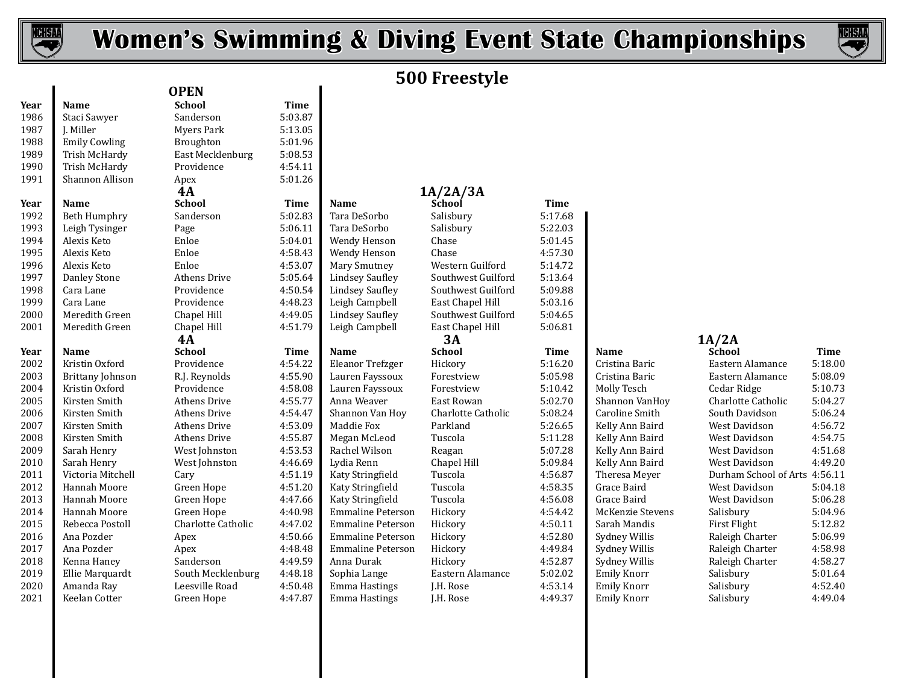



# **500 Freestyle**

|              |                             | <b>OPEN</b>                  |                    |                                |                        |                    |                                          |                               |                    |
|--------------|-----------------------------|------------------------------|--------------------|--------------------------------|------------------------|--------------------|------------------------------------------|-------------------------------|--------------------|
| Year         | Name                        | <b>School</b>                | <b>Time</b>        |                                |                        |                    |                                          |                               |                    |
| 1986         | Staci Sawyer                | Sanderson                    | 5:03.87            |                                |                        |                    |                                          |                               |                    |
| 1987         | J. Miller                   | <b>Myers Park</b>            | 5:13.05            |                                |                        |                    |                                          |                               |                    |
| 1988         | <b>Emily Cowling</b>        | Broughton                    | 5:01.96            |                                |                        |                    |                                          |                               |                    |
| 1989         | Trish McHardy               | East Mecklenburg             | 5:08.53            |                                |                        |                    |                                          |                               |                    |
| 1990         | Trish McHardy               | Providence                   | 4:54.11            |                                |                        |                    |                                          |                               |                    |
| 1991         | Shannon Allison             | Apex                         | 5:01.26            |                                |                        |                    |                                          |                               |                    |
|              |                             | 4A                           |                    |                                | 1A/2A/3A               |                    |                                          |                               |                    |
| Year         | Name                        | <b>School</b>                | <b>Time</b>        | Name                           | School                 | <b>Time</b>        |                                          |                               |                    |
| 1992         | <b>Beth Humphry</b>         | Sanderson                    | 5:02.83            | Tara DeSorbo                   | Salisbury              | 5:17.68            |                                          |                               |                    |
| 1993         | Leigh Tysinger              | Page                         | 5:06.11            | Tara DeSorbo                   | Salisbury              | 5:22.03            |                                          |                               |                    |
| 1994         | Alexis Keto                 | Enloe                        | 5:04.01            | Wendy Henson                   | Chase                  | 5:01.45            |                                          |                               |                    |
| 1995         | Alexis Keto                 | Enloe                        | 4:58.43            | Wendy Henson                   | Chase                  | 4:57.30            |                                          |                               |                    |
| 1996         | Alexis Keto                 | Enloe                        | 4:53.07            | Mary Smutney                   | Western Guilford       | 5:14.72            |                                          |                               |                    |
| 1997         | Danley Stone                | Athens Drive                 | 5:05.64            | <b>Lindsey Saufley</b>         | Southwest Guilford     | 5:13.64            |                                          |                               |                    |
| 1998         | Cara Lane                   | Providence                   | 4:50.54            | <b>Lindsey Saufley</b>         | Southwest Guilford     | 5:09.88            |                                          |                               |                    |
| 1999         | Cara Lane                   | Providence                   | 4:48.23            | Leigh Campbell                 | East Chapel Hill       | 5:03.16            |                                          |                               |                    |
| 2000         | Meredith Green              | Chapel Hill                  | 4:49.05            | <b>Lindsey Saufley</b>         | Southwest Guilford     | 5:04.65            |                                          |                               |                    |
| 2001         | Meredith Green              | Chapel Hill                  | 4:51.79            | Leigh Campbell                 | East Chapel Hill       | 5:06.81            |                                          |                               |                    |
|              |                             | <b>4A</b>                    |                    |                                | 3A                     |                    |                                          | 1A/2A                         |                    |
|              |                             |                              |                    |                                |                        |                    |                                          |                               |                    |
| Year         | <b>Name</b>                 | <b>School</b>                | <b>Time</b>        | Name                           | <b>School</b>          | <b>Time</b>        | Name                                     | School                        | <b>Time</b>        |
| 2002         | Kristin Oxford              | Providence                   | 4:54.22            | Eleanor Trefzger               | Hickory                | 5:16.20            | Cristina Baric                           | Eastern Alamance              | 5:18.00            |
| 2003         | Brittany Johnson            | R.J. Reynolds                | 4:55.90            | Lauren Fayssoux                | Forestview             | 5:05.98            | Cristina Baric                           | Eastern Alamance              | 5:08.09            |
| 2004         | Kristin Oxford              | Providence                   | 4:58.08            | Lauren Fayssoux                | Forestview             | 5:10.42            | Molly Tesch                              | Cedar Ridge                   | 5:10.73            |
| 2005         | Kirsten Smith               | Athens Drive                 | 4:55.77            | Anna Weaver                    | East Rowan             | 5:02.70            | Shannon VanHoy                           | Charlotte Catholic            | 5:04.27            |
| 2006         | Kirsten Smith               | Athens Drive                 | 4:54.47            | Shannon Van Hoy                | Charlotte Catholic     | 5:08.24            | Caroline Smith                           | South Davidson                | 5:06.24            |
| 2007         | Kirsten Smith               | Athens Drive                 | 4:53.09            | Maddie Fox                     | Parkland               | 5:26.65            | Kelly Ann Baird                          | West Davidson                 | 4:56.72            |
| 2008         | Kirsten Smith               | Athens Drive                 | 4:55.87            | Megan McLeod                   | Tuscola                | 5:11.28            | Kelly Ann Baird                          | West Davidson                 | 4:54.75            |
| 2009         | Sarah Henry                 | West Johnston                | 4:53.53            | Rachel Wilson                  | Reagan                 | 5:07.28            | Kelly Ann Baird                          | West Davidson                 | 4:51.68            |
| 2010         | Sarah Henry                 | West Johnston                | 4:46.69            | Lydia Renn                     | Chapel Hill            | 5:09.84            | Kelly Ann Baird                          | <b>West Davidson</b>          | 4:49.20            |
| 2011         | Victoria Mitchell           | Cary                         | 4:51.19            | Katy Stringfield               | Tuscola                | 4:56.87            | Theresa Meyer                            | Durham School of Arts 4:56.11 |                    |
| 2012         | <b>Hannah Moore</b>         | Green Hope                   | 4:51.20            | Katy Stringfield               | Tuscola                | 4:58.35            | Grace Baird                              | <b>West Davidson</b>          | 5:04.18            |
| 2013         | Hannah Moore                | Green Hope                   | 4:47.66            | Katy Stringfield               | Tuscola                | 4:56.08            | Grace Baird                              | West Davidson                 | 5:06.28            |
| 2014         | Hannah Moore                | Green Hope                   | 4:40.98            | <b>Emmaline Peterson</b>       | Hickory                | 4:54.42            | McKenzie Stevens                         | Salisbury                     | 5:04.96            |
| 2015         | Rebecca Postoll             | Charlotte Catholic           | 4:47.02            | <b>Emmaline Peterson</b>       | Hickory                | 4:50.11            | Sarah Mandis                             | First Flight                  | 5:12.82            |
| 2016         | Ana Pozder                  | Apex                         | 4:50.66            | <b>Emmaline Peterson</b>       | Hickory                | 4:52.80            | Sydney Willis                            | Raleigh Charter               | 5:06.99            |
| 2017         | Ana Pozder                  | Apex                         | 4:48.48            | <b>Emmaline Peterson</b>       | Hickory                | 4:49.84            | Sydney Willis                            | Raleigh Charter               | 4:58.98            |
| 2018         | Kenna Haney                 | Sanderson                    | 4:49.59            | Anna Durak                     | Hickory                | 4:52.87            | Sydney Willis                            | Raleigh Charter               | 4:58.27            |
| 2019         | Ellie Marquardt             | South Mecklenburg            | 4:48.18            | Sophia Lange                   | Eastern Alamance       | 5:02.02            | Emily Knorr                              | Salisbury                     | 5:01.64            |
| 2020<br>2021 | Amanda Ray<br>Keelan Cotter | Leesville Road<br>Green Hope | 4:50.48<br>4:47.87 | Emma Hastings<br>Emma Hastings | J.H. Rose<br>J.H. Rose | 4:53.14<br>4:49.37 | <b>Emily Knorr</b><br><b>Emily Knorr</b> | Salisbury<br>Salisbury        | 4:52.40<br>4:49.04 |

|                    | ,,,,,,      |
|--------------------|-------------|
| y                  | 5:17.68     |
| <b>y</b>           | 5:22.03     |
|                    | 5:01.45     |
|                    | 4:57.30     |
| ı Guilford         | 5:14.72     |
| est Guilford       | 5:13.64     |
| est Guilford       | 5:09.88     |
| apel Hill          | 5:03.16     |
| est Guilford       | 5:04.65     |
| apel Hill          | 5:06.81     |
|                    | <b>Time</b> |
|                    | 5:16.20     |
| iew                | 5:05.98     |
| iew                | 5:10.42     |
| wan                | 5:02.70     |
| te Catholic        | 5:08.24     |
| d                  | 5:26.65     |
|                    | 5:11.28     |
|                    | 5:07.28     |
| Hill               | 5:09.84     |
|                    | 4:56.87     |
|                    | 4:58.35     |
|                    | 4:56.08     |
|                    | 4:54.42     |
|                    | 4:50.11     |
|                    | 4:52.80     |
|                    | 4:49.84     |
|                    | 4:52.87     |
| $\Lambda$ l $\sim$ | F.02.02     |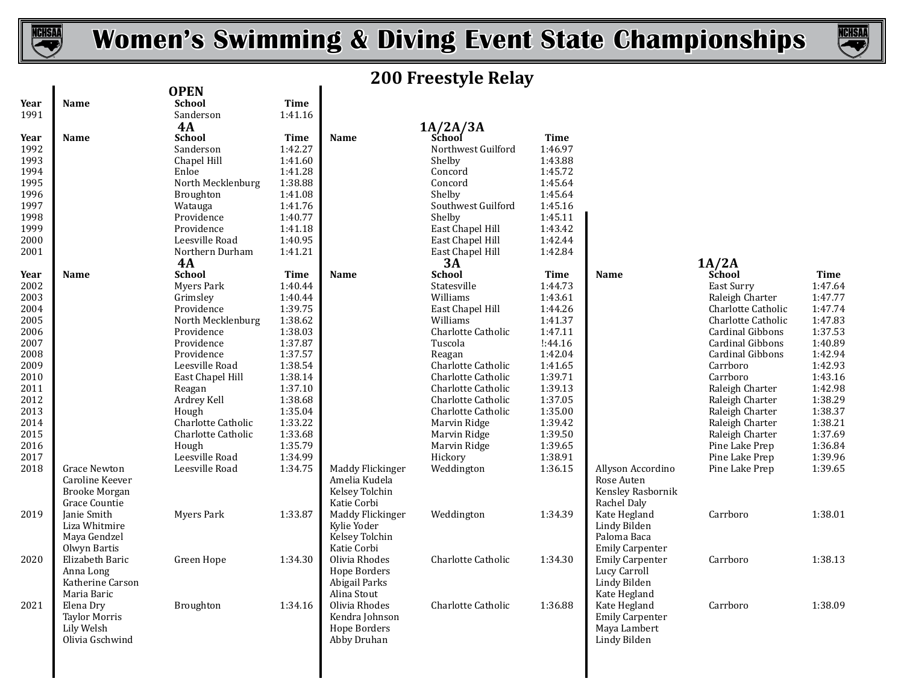



# **200 Freestyle Relay**

|                                                                                                                                                                                                                                                                                                                         |                                                                                                                                                                                                                                                                                                                                                                                                                                                                                                                                                             |                                                                                                                                                                                                                                                                                                                                                                                         |                                                                                                                                                                                                                                                                                                                |                                                                                                                                                                                                                                                                                                                                                                                                                                                                                                                                                                |                                                                                                                                                                                                                                                                                                                                                                                           |                                                                                                                                                                                                                                                                                                                 | <b>Time</b>                                                                                                                                                                                                                                                                                                                                                                      |
|-------------------------------------------------------------------------------------------------------------------------------------------------------------------------------------------------------------------------------------------------------------------------------------------------------------------------|-------------------------------------------------------------------------------------------------------------------------------------------------------------------------------------------------------------------------------------------------------------------------------------------------------------------------------------------------------------------------------------------------------------------------------------------------------------------------------------------------------------------------------------------------------------|-----------------------------------------------------------------------------------------------------------------------------------------------------------------------------------------------------------------------------------------------------------------------------------------------------------------------------------------------------------------------------------------|----------------------------------------------------------------------------------------------------------------------------------------------------------------------------------------------------------------------------------------------------------------------------------------------------------------|----------------------------------------------------------------------------------------------------------------------------------------------------------------------------------------------------------------------------------------------------------------------------------------------------------------------------------------------------------------------------------------------------------------------------------------------------------------------------------------------------------------------------------------------------------------|-------------------------------------------------------------------------------------------------------------------------------------------------------------------------------------------------------------------------------------------------------------------------------------------------------------------------------------------------------------------------------------------|-----------------------------------------------------------------------------------------------------------------------------------------------------------------------------------------------------------------------------------------------------------------------------------------------------------------|----------------------------------------------------------------------------------------------------------------------------------------------------------------------------------------------------------------------------------------------------------------------------------------------------------------------------------------------------------------------------------|
|                                                                                                                                                                                                                                                                                                                         |                                                                                                                                                                                                                                                                                                                                                                                                                                                                                                                                                             |                                                                                                                                                                                                                                                                                                                                                                                         |                                                                                                                                                                                                                                                                                                                |                                                                                                                                                                                                                                                                                                                                                                                                                                                                                                                                                                |                                                                                                                                                                                                                                                                                                                                                                                           |                                                                                                                                                                                                                                                                                                                 | 1:47.64                                                                                                                                                                                                                                                                                                                                                                          |
|                                                                                                                                                                                                                                                                                                                         |                                                                                                                                                                                                                                                                                                                                                                                                                                                                                                                                                             |                                                                                                                                                                                                                                                                                                                                                                                         |                                                                                                                                                                                                                                                                                                                |                                                                                                                                                                                                                                                                                                                                                                                                                                                                                                                                                                |                                                                                                                                                                                                                                                                                                                                                                                           |                                                                                                                                                                                                                                                                                                                 | 1:47.77                                                                                                                                                                                                                                                                                                                                                                          |
|                                                                                                                                                                                                                                                                                                                         |                                                                                                                                                                                                                                                                                                                                                                                                                                                                                                                                                             |                                                                                                                                                                                                                                                                                                                                                                                         |                                                                                                                                                                                                                                                                                                                |                                                                                                                                                                                                                                                                                                                                                                                                                                                                                                                                                                |                                                                                                                                                                                                                                                                                                                                                                                           |                                                                                                                                                                                                                                                                                                                 | 1:47.74                                                                                                                                                                                                                                                                                                                                                                          |
|                                                                                                                                                                                                                                                                                                                         |                                                                                                                                                                                                                                                                                                                                                                                                                                                                                                                                                             |                                                                                                                                                                                                                                                                                                                                                                                         |                                                                                                                                                                                                                                                                                                                |                                                                                                                                                                                                                                                                                                                                                                                                                                                                                                                                                                |                                                                                                                                                                                                                                                                                                                                                                                           |                                                                                                                                                                                                                                                                                                                 | 1:47.83                                                                                                                                                                                                                                                                                                                                                                          |
|                                                                                                                                                                                                                                                                                                                         |                                                                                                                                                                                                                                                                                                                                                                                                                                                                                                                                                             |                                                                                                                                                                                                                                                                                                                                                                                         |                                                                                                                                                                                                                                                                                                                |                                                                                                                                                                                                                                                                                                                                                                                                                                                                                                                                                                |                                                                                                                                                                                                                                                                                                                                                                                           |                                                                                                                                                                                                                                                                                                                 | 1:37.53                                                                                                                                                                                                                                                                                                                                                                          |
|                                                                                                                                                                                                                                                                                                                         |                                                                                                                                                                                                                                                                                                                                                                                                                                                                                                                                                             |                                                                                                                                                                                                                                                                                                                                                                                         |                                                                                                                                                                                                                                                                                                                |                                                                                                                                                                                                                                                                                                                                                                                                                                                                                                                                                                |                                                                                                                                                                                                                                                                                                                                                                                           |                                                                                                                                                                                                                                                                                                                 | 1:40.89                                                                                                                                                                                                                                                                                                                                                                          |
|                                                                                                                                                                                                                                                                                                                         |                                                                                                                                                                                                                                                                                                                                                                                                                                                                                                                                                             |                                                                                                                                                                                                                                                                                                                                                                                         |                                                                                                                                                                                                                                                                                                                |                                                                                                                                                                                                                                                                                                                                                                                                                                                                                                                                                                |                                                                                                                                                                                                                                                                                                                                                                                           |                                                                                                                                                                                                                                                                                                                 | 1:42.94                                                                                                                                                                                                                                                                                                                                                                          |
|                                                                                                                                                                                                                                                                                                                         |                                                                                                                                                                                                                                                                                                                                                                                                                                                                                                                                                             |                                                                                                                                                                                                                                                                                                                                                                                         |                                                                                                                                                                                                                                                                                                                |                                                                                                                                                                                                                                                                                                                                                                                                                                                                                                                                                                |                                                                                                                                                                                                                                                                                                                                                                                           |                                                                                                                                                                                                                                                                                                                 | 1:42.93                                                                                                                                                                                                                                                                                                                                                                          |
|                                                                                                                                                                                                                                                                                                                         |                                                                                                                                                                                                                                                                                                                                                                                                                                                                                                                                                             |                                                                                                                                                                                                                                                                                                                                                                                         |                                                                                                                                                                                                                                                                                                                |                                                                                                                                                                                                                                                                                                                                                                                                                                                                                                                                                                |                                                                                                                                                                                                                                                                                                                                                                                           |                                                                                                                                                                                                                                                                                                                 | 1:43.16                                                                                                                                                                                                                                                                                                                                                                          |
|                                                                                                                                                                                                                                                                                                                         |                                                                                                                                                                                                                                                                                                                                                                                                                                                                                                                                                             |                                                                                                                                                                                                                                                                                                                                                                                         |                                                                                                                                                                                                                                                                                                                |                                                                                                                                                                                                                                                                                                                                                                                                                                                                                                                                                                |                                                                                                                                                                                                                                                                                                                                                                                           |                                                                                                                                                                                                                                                                                                                 | 1:42.98                                                                                                                                                                                                                                                                                                                                                                          |
|                                                                                                                                                                                                                                                                                                                         |                                                                                                                                                                                                                                                                                                                                                                                                                                                                                                                                                             |                                                                                                                                                                                                                                                                                                                                                                                         |                                                                                                                                                                                                                                                                                                                |                                                                                                                                                                                                                                                                                                                                                                                                                                                                                                                                                                |                                                                                                                                                                                                                                                                                                                                                                                           |                                                                                                                                                                                                                                                                                                                 | 1:38.29                                                                                                                                                                                                                                                                                                                                                                          |
|                                                                                                                                                                                                                                                                                                                         |                                                                                                                                                                                                                                                                                                                                                                                                                                                                                                                                                             |                                                                                                                                                                                                                                                                                                                                                                                         |                                                                                                                                                                                                                                                                                                                |                                                                                                                                                                                                                                                                                                                                                                                                                                                                                                                                                                |                                                                                                                                                                                                                                                                                                                                                                                           |                                                                                                                                                                                                                                                                                                                 | 1:38.37                                                                                                                                                                                                                                                                                                                                                                          |
|                                                                                                                                                                                                                                                                                                                         |                                                                                                                                                                                                                                                                                                                                                                                                                                                                                                                                                             |                                                                                                                                                                                                                                                                                                                                                                                         |                                                                                                                                                                                                                                                                                                                |                                                                                                                                                                                                                                                                                                                                                                                                                                                                                                                                                                |                                                                                                                                                                                                                                                                                                                                                                                           |                                                                                                                                                                                                                                                                                                                 | 1:38.21                                                                                                                                                                                                                                                                                                                                                                          |
|                                                                                                                                                                                                                                                                                                                         |                                                                                                                                                                                                                                                                                                                                                                                                                                                                                                                                                             |                                                                                                                                                                                                                                                                                                                                                                                         |                                                                                                                                                                                                                                                                                                                |                                                                                                                                                                                                                                                                                                                                                                                                                                                                                                                                                                |                                                                                                                                                                                                                                                                                                                                                                                           |                                                                                                                                                                                                                                                                                                                 | 1:37.69                                                                                                                                                                                                                                                                                                                                                                          |
|                                                                                                                                                                                                                                                                                                                         |                                                                                                                                                                                                                                                                                                                                                                                                                                                                                                                                                             |                                                                                                                                                                                                                                                                                                                                                                                         |                                                                                                                                                                                                                                                                                                                |                                                                                                                                                                                                                                                                                                                                                                                                                                                                                                                                                                |                                                                                                                                                                                                                                                                                                                                                                                           |                                                                                                                                                                                                                                                                                                                 | 1:36.84                                                                                                                                                                                                                                                                                                                                                                          |
|                                                                                                                                                                                                                                                                                                                         |                                                                                                                                                                                                                                                                                                                                                                                                                                                                                                                                                             |                                                                                                                                                                                                                                                                                                                                                                                         |                                                                                                                                                                                                                                                                                                                |                                                                                                                                                                                                                                                                                                                                                                                                                                                                                                                                                                |                                                                                                                                                                                                                                                                                                                                                                                           |                                                                                                                                                                                                                                                                                                                 | 1:39.96                                                                                                                                                                                                                                                                                                                                                                          |
|                                                                                                                                                                                                                                                                                                                         |                                                                                                                                                                                                                                                                                                                                                                                                                                                                                                                                                             |                                                                                                                                                                                                                                                                                                                                                                                         |                                                                                                                                                                                                                                                                                                                |                                                                                                                                                                                                                                                                                                                                                                                                                                                                                                                                                                |                                                                                                                                                                                                                                                                                                                                                                                           |                                                                                                                                                                                                                                                                                                                 | 1:39.65                                                                                                                                                                                                                                                                                                                                                                          |
|                                                                                                                                                                                                                                                                                                                         |                                                                                                                                                                                                                                                                                                                                                                                                                                                                                                                                                             |                                                                                                                                                                                                                                                                                                                                                                                         |                                                                                                                                                                                                                                                                                                                |                                                                                                                                                                                                                                                                                                                                                                                                                                                                                                                                                                |                                                                                                                                                                                                                                                                                                                                                                                           |                                                                                                                                                                                                                                                                                                                 |                                                                                                                                                                                                                                                                                                                                                                                  |
|                                                                                                                                                                                                                                                                                                                         |                                                                                                                                                                                                                                                                                                                                                                                                                                                                                                                                                             |                                                                                                                                                                                                                                                                                                                                                                                         |                                                                                                                                                                                                                                                                                                                |                                                                                                                                                                                                                                                                                                                                                                                                                                                                                                                                                                |                                                                                                                                                                                                                                                                                                                                                                                           |                                                                                                                                                                                                                                                                                                                 |                                                                                                                                                                                                                                                                                                                                                                                  |
|                                                                                                                                                                                                                                                                                                                         |                                                                                                                                                                                                                                                                                                                                                                                                                                                                                                                                                             |                                                                                                                                                                                                                                                                                                                                                                                         |                                                                                                                                                                                                                                                                                                                |                                                                                                                                                                                                                                                                                                                                                                                                                                                                                                                                                                |                                                                                                                                                                                                                                                                                                                                                                                           |                                                                                                                                                                                                                                                                                                                 |                                                                                                                                                                                                                                                                                                                                                                                  |
|                                                                                                                                                                                                                                                                                                                         |                                                                                                                                                                                                                                                                                                                                                                                                                                                                                                                                                             |                                                                                                                                                                                                                                                                                                                                                                                         |                                                                                                                                                                                                                                                                                                                |                                                                                                                                                                                                                                                                                                                                                                                                                                                                                                                                                                |                                                                                                                                                                                                                                                                                                                                                                                           |                                                                                                                                                                                                                                                                                                                 | 1:38.01                                                                                                                                                                                                                                                                                                                                                                          |
|                                                                                                                                                                                                                                                                                                                         |                                                                                                                                                                                                                                                                                                                                                                                                                                                                                                                                                             |                                                                                                                                                                                                                                                                                                                                                                                         |                                                                                                                                                                                                                                                                                                                |                                                                                                                                                                                                                                                                                                                                                                                                                                                                                                                                                                |                                                                                                                                                                                                                                                                                                                                                                                           |                                                                                                                                                                                                                                                                                                                 |                                                                                                                                                                                                                                                                                                                                                                                  |
|                                                                                                                                                                                                                                                                                                                         |                                                                                                                                                                                                                                                                                                                                                                                                                                                                                                                                                             |                                                                                                                                                                                                                                                                                                                                                                                         |                                                                                                                                                                                                                                                                                                                |                                                                                                                                                                                                                                                                                                                                                                                                                                                                                                                                                                |                                                                                                                                                                                                                                                                                                                                                                                           |                                                                                                                                                                                                                                                                                                                 |                                                                                                                                                                                                                                                                                                                                                                                  |
|                                                                                                                                                                                                                                                                                                                         |                                                                                                                                                                                                                                                                                                                                                                                                                                                                                                                                                             |                                                                                                                                                                                                                                                                                                                                                                                         |                                                                                                                                                                                                                                                                                                                |                                                                                                                                                                                                                                                                                                                                                                                                                                                                                                                                                                |                                                                                                                                                                                                                                                                                                                                                                                           |                                                                                                                                                                                                                                                                                                                 |                                                                                                                                                                                                                                                                                                                                                                                  |
|                                                                                                                                                                                                                                                                                                                         |                                                                                                                                                                                                                                                                                                                                                                                                                                                                                                                                                             |                                                                                                                                                                                                                                                                                                                                                                                         |                                                                                                                                                                                                                                                                                                                |                                                                                                                                                                                                                                                                                                                                                                                                                                                                                                                                                                |                                                                                                                                                                                                                                                                                                                                                                                           |                                                                                                                                                                                                                                                                                                                 | 1:38.13                                                                                                                                                                                                                                                                                                                                                                          |
|                                                                                                                                                                                                                                                                                                                         |                                                                                                                                                                                                                                                                                                                                                                                                                                                                                                                                                             |                                                                                                                                                                                                                                                                                                                                                                                         |                                                                                                                                                                                                                                                                                                                |                                                                                                                                                                                                                                                                                                                                                                                                                                                                                                                                                                |                                                                                                                                                                                                                                                                                                                                                                                           |                                                                                                                                                                                                                                                                                                                 |                                                                                                                                                                                                                                                                                                                                                                                  |
|                                                                                                                                                                                                                                                                                                                         |                                                                                                                                                                                                                                                                                                                                                                                                                                                                                                                                                             |                                                                                                                                                                                                                                                                                                                                                                                         |                                                                                                                                                                                                                                                                                                                |                                                                                                                                                                                                                                                                                                                                                                                                                                                                                                                                                                |                                                                                                                                                                                                                                                                                                                                                                                           |                                                                                                                                                                                                                                                                                                                 |                                                                                                                                                                                                                                                                                                                                                                                  |
|                                                                                                                                                                                                                                                                                                                         |                                                                                                                                                                                                                                                                                                                                                                                                                                                                                                                                                             |                                                                                                                                                                                                                                                                                                                                                                                         |                                                                                                                                                                                                                                                                                                                |                                                                                                                                                                                                                                                                                                                                                                                                                                                                                                                                                                |                                                                                                                                                                                                                                                                                                                                                                                           |                                                                                                                                                                                                                                                                                                                 |                                                                                                                                                                                                                                                                                                                                                                                  |
|                                                                                                                                                                                                                                                                                                                         |                                                                                                                                                                                                                                                                                                                                                                                                                                                                                                                                                             |                                                                                                                                                                                                                                                                                                                                                                                         |                                                                                                                                                                                                                                                                                                                |                                                                                                                                                                                                                                                                                                                                                                                                                                                                                                                                                                |                                                                                                                                                                                                                                                                                                                                                                                           |                                                                                                                                                                                                                                                                                                                 | 1:38.09                                                                                                                                                                                                                                                                                                                                                                          |
|                                                                                                                                                                                                                                                                                                                         |                                                                                                                                                                                                                                                                                                                                                                                                                                                                                                                                                             |                                                                                                                                                                                                                                                                                                                                                                                         |                                                                                                                                                                                                                                                                                                                |                                                                                                                                                                                                                                                                                                                                                                                                                                                                                                                                                                |                                                                                                                                                                                                                                                                                                                                                                                           |                                                                                                                                                                                                                                                                                                                 |                                                                                                                                                                                                                                                                                                                                                                                  |
|                                                                                                                                                                                                                                                                                                                         |                                                                                                                                                                                                                                                                                                                                                                                                                                                                                                                                                             |                                                                                                                                                                                                                                                                                                                                                                                         |                                                                                                                                                                                                                                                                                                                |                                                                                                                                                                                                                                                                                                                                                                                                                                                                                                                                                                |                                                                                                                                                                                                                                                                                                                                                                                           |                                                                                                                                                                                                                                                                                                                 |                                                                                                                                                                                                                                                                                                                                                                                  |
|                                                                                                                                                                                                                                                                                                                         |                                                                                                                                                                                                                                                                                                                                                                                                                                                                                                                                                             |                                                                                                                                                                                                                                                                                                                                                                                         |                                                                                                                                                                                                                                                                                                                |                                                                                                                                                                                                                                                                                                                                                                                                                                                                                                                                                                |                                                                                                                                                                                                                                                                                                                                                                                           |                                                                                                                                                                                                                                                                                                                 |                                                                                                                                                                                                                                                                                                                                                                                  |
|                                                                                                                                                                                                                                                                                                                         |                                                                                                                                                                                                                                                                                                                                                                                                                                                                                                                                                             |                                                                                                                                                                                                                                                                                                                                                                                         |                                                                                                                                                                                                                                                                                                                |                                                                                                                                                                                                                                                                                                                                                                                                                                                                                                                                                                |                                                                                                                                                                                                                                                                                                                                                                                           |                                                                                                                                                                                                                                                                                                                 |                                                                                                                                                                                                                                                                                                                                                                                  |
|                                                                                                                                                                                                                                                                                                                         |                                                                                                                                                                                                                                                                                                                                                                                                                                                                                                                                                             |                                                                                                                                                                                                                                                                                                                                                                                         |                                                                                                                                                                                                                                                                                                                |                                                                                                                                                                                                                                                                                                                                                                                                                                                                                                                                                                |                                                                                                                                                                                                                                                                                                                                                                                           |                                                                                                                                                                                                                                                                                                                 |                                                                                                                                                                                                                                                                                                                                                                                  |
|                                                                                                                                                                                                                                                                                                                         |                                                                                                                                                                                                                                                                                                                                                                                                                                                                                                                                                             |                                                                                                                                                                                                                                                                                                                                                                                         |                                                                                                                                                                                                                                                                                                                |                                                                                                                                                                                                                                                                                                                                                                                                                                                                                                                                                                |                                                                                                                                                                                                                                                                                                                                                                                           |                                                                                                                                                                                                                                                                                                                 |                                                                                                                                                                                                                                                                                                                                                                                  |
| Name<br>Name<br><b>Name</b><br><b>Grace Newton</b><br>Caroline Keever<br><b>Brooke Morgan</b><br>Grace Countie<br>Janie Smith<br>Liza Whitmire<br>Maya Gendzel<br>Olwyn Bartis<br>Elizabeth Baric<br>Anna Long<br>Katherine Carson<br>Maria Baric<br>Elena Drv<br><b>Taylor Morris</b><br>Lily Welsh<br>Olivia Gschwind | <b>OPEN</b><br><b>School</b><br>Sanderson<br>4A<br><b>School</b><br>Sanderson<br>Chapel Hill<br>Enloe<br>North Mecklenburg<br>Broughton<br>Watauga<br>Providence<br>Providence<br>Leesville Road<br>Northern Durham<br>4A<br><b>School</b><br>Myers Park<br>Grimslev<br>Providence<br>North Mecklenburg<br>Providence<br>Providence<br>Providence<br>Leesville Road<br>East Chapel Hill<br>Reagan<br>Ardrey Kell<br>Hough<br>Charlotte Catholic<br>Charlotte Catholic<br>Hough<br>Leesville Road<br>Leesville Road<br>Myers Park<br>Green Hope<br>Broughton | <b>Time</b><br>1:41.16<br>Time<br>1:42.27<br>1:41.60<br>1:41.28<br>1:38.88<br>1:41.08<br>1:41.76<br>1:40.77<br>1:41.18<br>1:40.95<br>1:41.21<br><b>Time</b><br>1:40.44<br>1:40.44<br>1:39.75<br>1:38.62<br>1:38.03<br>1:37.87<br>1:37.57<br>1:38.54<br>1:38.14<br>1:37.10<br>1:38.68<br>1:35.04<br>1:33.22<br>1:33.68<br>1:35.79<br>1:34.99<br>1:34.75<br>1:33.87<br>1:34.30<br>1:34.16 | <b>Name</b><br><b>Name</b><br>Maddy Flickinger<br>Amelia Kudela<br>Kelsey Tolchin<br>Katie Corbi<br>Maddy Flickinger<br>Kylie Yoder<br>Kelsey Tolchin<br>Katie Corbi<br>Olivia Rhodes<br>Hope Borders<br>Abigail Parks<br>Alina Stout<br>Olivia Rhodes<br>Kendra Johnson<br><b>Hope Borders</b><br>Abby Druhan | $1A/2A/3A$<br>School<br>Northwest Guilford<br>Shelby<br>Concord<br>Concord<br>Shelby<br>Southwest Guilford<br>Shelby<br>East Chapel Hill<br>East Chapel Hill<br>East Chapel Hill<br>3A<br><b>School</b><br>Statesville<br>Williams<br>East Chapel Hill<br>Williams<br>Charlotte Catholic<br>Tuscola<br>Reagan<br>Charlotte Catholic<br>Charlotte Catholic<br>Charlotte Catholic<br>Charlotte Catholic<br>Charlotte Catholic<br>Marvin Ridge<br>Marvin Ridge<br>Marvin Ridge<br>Hickory<br>Weddington<br>Weddington<br>Charlotte Catholic<br>Charlotte Catholic | <u>U TTCCOCJIC IWIUJ</u><br><b>Time</b><br>1:46.97<br>1:43.88<br>1:45.72<br>1:45.64<br>1:45.64<br>1:45.16<br>1:45.11<br>1:43.42<br>1:42.44<br>1:42.84<br>Time<br>1:44.73<br>1:43.61<br>1:44.26<br>1:41.37<br>1:47.11<br>!:44.16<br>1:42.04<br>1:41.65<br>1:39.71<br>1:39.13<br>1:37.05<br>1:35.00<br>1:39.42<br>1:39.50<br>1:39.65<br>1:38.91<br>1:36.15<br>1:34.39<br>1:34.30<br>1:36.88 | <b>Name</b><br>Allyson Accordino<br>Rose Auten<br>Kensley Rasbornik<br>Rachel Daly<br>Kate Hegland<br>Lindy Bilden<br>Paloma Baca<br><b>Emily Carpenter</b><br><b>Emily Carpenter</b><br>Lucy Carroll<br>Lindy Bilden<br>Kate Hegland<br>Kate Hegland<br><b>Emily Carpenter</b><br>Maya Lambert<br>Lindy Bilden | 1A/2A<br><b>School</b><br>East Surry<br>Raleigh Charter<br>Charlotte Catholic<br>Charlotte Catholic<br>Cardinal Gibbons<br>Cardinal Gibbons<br>Cardinal Gibbons<br>Carrboro<br>Carrboro<br>Raleigh Charter<br>Raleigh Charter<br>Raleigh Charter<br>Raleigh Charter<br>Raleigh Charter<br>Pine Lake Prep<br>Pine Lake Prep<br>Pine Lake Prep<br>Carrboro<br>Carrboro<br>Carrboro |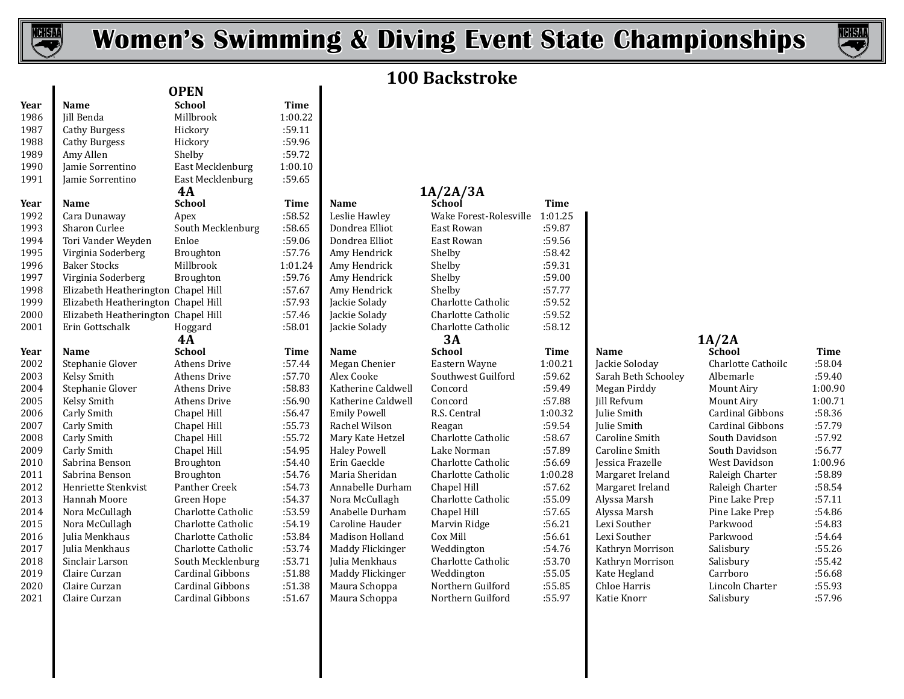



# **100 Backstroke**

# **1A/2A/3A**<br> **1A/2A/3A**<br> **1A/2A/3A**

| ichool             | Time    | <b>Name</b>         | School                    | Time        |                     |         |
|--------------------|---------|---------------------|---------------------------|-------------|---------------------|---------|
| Apex               | :58.52  | Leslie Hawley       | Wake Forest-Rolesville    | 1:01.25     |                     |         |
| South Mecklenburg  | :58.65  | Dondrea Elliot      | East Rowan                | :59.87      |                     |         |
| ?nloe              | :59.06  | Dondrea Elliot      | East Rowan                | :59.56      |                     |         |
| Broughton          | :57.76  | Amy Hendrick        | Shelby                    | :58.42      |                     |         |
| Aillbrook          | 1:01.24 | Amy Hendrick        | Shelby                    | :59.31      |                     |         |
| Broughton          | :59.76  | Amy Hendrick        | Shelby                    | :59.00      |                     |         |
| hapel Hill.        | :57.67  | Amy Hendrick        | Shelby                    | :57.77      |                     |         |
| hapel Hill.        | :57.93  | Jackie Solady       | Charlotte Catholic        | :59.52      |                     |         |
| hapel Hill.        | :57.46  | Jackie Solady       | Charlotte Catholic        | :59.52      |                     |         |
| Ioggard            | :58.01  | Jackie Solady       | Charlotte Catholic        | :58.12      |                     |         |
| 4А                 |         |                     | 3A                        |             |                     | 1A/2A   |
| ichool             | Time    | <b>Name</b>         | <b>School</b>             | <b>Time</b> | Name                | Schoo   |
| Athens Drive       | :57.44  | Megan Chenier       | Eastern Wayne             | 1:00.21     | Jackie Soloday      | Charlo  |
| Athens Drive       | :57.70  | Alex Cooke          | Southwest Guilford        | :59.62      | Sarah Beth Schooley | Albem   |
| Athens Drive       | :58.83  | Katherine Caldwell  | Concord                   | :59.49      | Megan Pirddy        | Mount   |
| Athens Drive       | :56.90  | Katherine Caldwell  | Concord                   | :57.88      | <b>Jill Refvum</b>  | Mount   |
| hapel Hill.        | :56.47  | <b>Emily Powell</b> | R.S. Central              | 1:00.32     | Julie Smith         | Cardin  |
| hapel Hill         | :55.73  | Rachel Wilson       | Reagan                    | :59.54      | <b>Iulie Smith</b>  | Cardin  |
| hapel Hill.        | :55.72  | Mary Kate Hetzel    | Charlotte Catholic        | :58.67      | Caroline Smith      | South 1 |
| hapel Hill         | :54.95  | <b>Haley Powell</b> | Lake Norman               | :57.89      | Caroline Smith      | South 1 |
| Broughton          | :54.40  | Erin Gaeckle        | Charlotte Catholic        | :56.69      | Jessica Frazelle    | West D  |
| 3roughton          | :54.76  | Maria Sheridan      | Charlotte Catholic        | 1:00.28     | Margaret Ireland    | Raleigl |
| Panther Creek      | :54.73  | Annabelle Durham    | Chapel Hill               | :57.62      | Margaret Ireland    | Raleigl |
| Green Hope         | :54.37  | Nora McCullagh      | Charlotte Catholic        | :55.09      | Alyssa Marsh        | Pine La |
| Charlotte Catholic | :53.59  | Anabelle Durham     | Chapel Hill               | :57.65      | Alyssa Marsh        | Pine La |
| Charlotte Catholic | :54.19  | Caroline Hauder     | Marvin Ridge              | :56.21      | Lexi Souther        | Parkw   |
| Charlotte Catholic | :53.84  | Madison Holland     | Cox Mill                  | :56.61      | Lexi Souther        | Parkw   |
| Charlotte Catholic | :53.74  | Maddy Flickinger    | Weddington                | :54.76      | Kathryn Morrison    | Salisbu |
| South Mecklenburg  | :53.71  | Julia Menkhaus      | <b>Charlotte Catholic</b> | :53.70      | Kathryn Morrison    | Salisbu |
| Cardinal Gibbons   | :51.88  | Maddy Flickinger    | Weddington                | :55.05      | Kate Hegland        | Carrbo  |
| Cardinal Gibbons   | :51.38  | Maura Schoppa       | Northern Guilford         | :55.85      | Chloe Harris        | Lincoli |
| `ardinal Cihhone   | $-5167$ | Maura Schonna       | Northern Guilford         | $-5597$     | Katie Knorr         | Salichi |

|                | Name               |
|----------------|--------------------|
| 1              | Jackie Soloday     |
|                | Sarah Beth Sch     |
|                | Megan Pirddy       |
| ;              | Jill Refvum        |
| $\overline{c}$ | <b>Julie Smith</b> |
| .<br>.         | Julie Smith        |
|                | Caroline Smith     |
|                | Caroline Smith     |
|                | Jessica Frazelle   |
| B              | Margaret Irelar    |
|                | Margaret Irelar    |
|                | Alyssa Marsh       |
|                | Alyssa Marsh       |
|                | Lexi Souther       |
|                | Lexi Souther       |
| .<br>,         | Kathryn Morri:     |
|                | Kathryn Morri:     |
|                | Kate Hegland       |
|                | Chloe Harris       |
|                | $U$ otio $U$ nown  |

| Year | Name                | School             | Time   | Name               | School             | Time    | Name                | School             | Time    |
|------|---------------------|--------------------|--------|--------------------|--------------------|---------|---------------------|--------------------|---------|
| 2002 | Stephanie Glover    | Athens Drive       | :57.44 | Megan Chenier      | Eastern Wayne      | 1:00.21 | Jackie Soloday      | Charlotte Cathoilc | :58.04  |
| 2003 | Kelsy Smith         | Athens Drive       | :57.70 | Alex Cooke         | Southwest Guilford | :59.62  | Sarah Beth Schooley | Albemarle          | :59.40  |
| 2004 | Stephanie Glover    | Athens Drive       | :58.83 | Katherine Caldwell | Concord            | :59.49  | Megan Pirddy        | Mount Airy         | 1:00.90 |
| 2005 | Kelsy Smith         | Athens Drive       | :56.90 | Katherine Caldwell | Concord            | :57.88  | Jill Refvum         | Mount Airy         | 1:00.71 |
| 2006 | Carly Smith         | Chapel Hill        | :56.47 | Emily Powell       | R.S. Central       | 1:00.32 | Julie Smith         | Cardinal Gibbons   | :58.36  |
| 2007 | Carly Smith         | Chapel Hill        | :55.73 | Rachel Wilson      | Reagan             | :59.54  | <b>Iulie Smith</b>  | Cardinal Gibbons   | :57.79  |
| 2008 | Carly Smith         | Chapel Hill        | :55.72 | Mary Kate Hetzel   | Charlotte Catholic | :58.67  | Caroline Smith      | South Davidson     | :57.92  |
| 2009 | Carly Smith         | Chapel Hill        | :54.95 | Haley Powell       | Lake Norman        | :57.89  | Caroline Smith      | South Davidson     | :56.77  |
| 2010 | Sabrina Benson      | Broughton          | :54.40 | Erin Gaeckle       | Charlotte Catholic | :56.69  | Jessica Frazelle    | West Davidson      | 1:00.96 |
| 2011 | Sabrina Benson      | Broughton          | :54.76 | Maria Sheridan     | Charlotte Catholic | 1:00.28 | Margaret Ireland    | Raleigh Charter    | :58.89  |
| 2012 | Henriette Stenkvist | Panther Creek      | :54.73 | Annabelle Durham   | Chapel Hill        | :57.62  | Margaret Ireland    | Raleigh Charter    | :58.54  |
| 2013 | Hannah Moore        | Green Hope         | :54.37 | Nora McCullagh     | Charlotte Catholic | :55.09  | Alyssa Marsh        | Pine Lake Prep     | :57.11  |
| 2014 | Nora McCullagh      | Charlotte Catholic | :53.59 | Anabelle Durham    | Chapel Hill        | :57.65  | Alyssa Marsh        | Pine Lake Prep     | :54.86  |
| 2015 | Nora McCullagh      | Charlotte Catholic | :54.19 | Caroline Hauder    | Marvin Ridge       | :56.21  | Lexi Souther        | Parkwood           | :54.83  |
| 2016 | Julia Menkhaus      | Charlotte Catholic | :53.84 | Madison Holland    | Cox Mill           | :56.61  | Lexi Souther        | Parkwood           | :54.64  |
| 2017 | Julia Menkhaus      | Charlotte Catholic | :53.74 | Maddy Flickinger   | Weddington         | :54.76  | Kathryn Morrison    | Salisbury          | :55.26  |
| 2018 | Sinclair Larson     | South Mecklenburg  | :53.71 | Julia Menkhaus     | Charlotte Catholic | :53.70  | Kathryn Morrison    | Salisbury          | :55.42  |
| 2019 | Claire Curzan       | Cardinal Gibbons   | :51.88 | Maddy Flickinger   | Weddington         | :55.05  | Kate Hegland        | Carrboro           | :56.68  |
| 2020 | Claire Curzan       | Cardinal Gibbons   | :51.38 | Maura Schoppa      | Northern Guilford  | :55.85  | Chloe Harris        | Lincoln Charter    | :55.93  |
| 2021 | Claire Curzan       | Cardinal Gibbons   | :51.67 | Maura Schoppa      | Northern Guilford  | :55.97  | Katie Knorr         | Salisbury          | :57.96  |

| 1987 | Cathy Burgess                       | Hickory                 | :59.11      |                     |                        |             |                     |                    |             |
|------|-------------------------------------|-------------------------|-------------|---------------------|------------------------|-------------|---------------------|--------------------|-------------|
| 1988 | <b>Cathy Burgess</b>                | Hickory                 | :59.96      |                     |                        |             |                     |                    |             |
| 1989 | Amy Allen                           | Shelby                  | :59.72      |                     |                        |             |                     |                    |             |
| 1990 | Jamie Sorrentino                    | East Mecklenburg        | 1:00.10     |                     |                        |             |                     |                    |             |
| 1991 | Jamie Sorrentino                    | East Mecklenburg        | :59.65      |                     |                        |             |                     |                    |             |
|      |                                     | <b>4A</b>               |             |                     | 1A/2A/3A               |             |                     |                    |             |
| Year | <b>Name</b>                         | <b>School</b>           | <b>Time</b> | Name                | School                 | <b>Time</b> |                     |                    |             |
| 1992 | Cara Dunaway                        | Apex                    | :58.52      | Leslie Hawley       | Wake Forest-Rolesville | 1:01.25     |                     |                    |             |
| 1993 | Sharon Curlee                       | South Mecklenburg       | :58.65      | Dondrea Elliot      | East Rowan             | :59.87      |                     |                    |             |
| 1994 | Tori Vander Weyden                  | Enloe                   | :59.06      | Dondrea Elliot      | East Rowan             | :59.56      |                     |                    |             |
| 1995 | Virginia Soderberg                  | Broughton               | :57.76      | Amy Hendrick        | Shelby                 | :58.42      |                     |                    |             |
| 1996 | <b>Baker Stocks</b>                 | Millbrook               | 1:01.24     | Amy Hendrick        | Shelby                 | :59.31      |                     |                    |             |
| 1997 | Virginia Soderberg                  | Broughton               | :59.76      | Amy Hendrick        | Shelby                 | :59.00      |                     |                    |             |
| 1998 | Elizabeth Heatherington Chapel Hill |                         | :57.67      | Amy Hendrick        | Shelby                 | :57.77      |                     |                    |             |
| 1999 | Elizabeth Heatherington Chapel Hill |                         | :57.93      | Jackie Solady       | Charlotte Catholic     | :59.52      |                     |                    |             |
| 2000 | Elizabeth Heatherington Chapel Hill |                         | :57.46      | Jackie Solady       | Charlotte Catholic     | :59.52      |                     |                    |             |
| 2001 | Erin Gottschalk                     | Hoggard                 | :58.01      | Jackie Solady       | Charlotte Catholic     | :58.12      |                     |                    |             |
|      |                                     | 4A                      |             |                     | 3A                     |             |                     | 1A/2A              |             |
| Year | <b>Name</b>                         | <b>School</b>           | Time        | <b>Name</b>         | <b>School</b>          | Time        | Name                | <b>School</b>      | <b>Time</b> |
| 2002 | Stephanie Glover                    | <b>Athens Drive</b>     | :57.44      | Megan Chenier       | Eastern Wayne          | 1:00.21     | Jackie Soloday      | Charlotte Cathoilc | :58.04      |
| 2003 | Kelsy Smith                         | <b>Athens Drive</b>     | :57.70      | Alex Cooke          | Southwest Guilford     | :59.62      | Sarah Beth Schooley | Albemarle          | :59.40      |
| 2004 | Stephanie Glover                    | Athens Drive            | :58.83      | Katherine Caldwell  | Concord                | :59.49      | Megan Pirddy        | Mount Airy         | 1:00.90     |
| 2005 | Kelsy Smith                         | Athens Drive            | :56.90      | Katherine Caldwell  | Concord                | :57.88      | Jill Refvum         | Mount Airy         | 1:00.7      |
| 2006 | Carly Smith                         | Chapel Hill             | :56.47      | <b>Emily Powell</b> | R.S. Central           | 1:00.32     | Julie Smith         | Cardinal Gibbons   | :58.36      |
| 2007 | Carly Smith                         | Chapel Hill             | :55.73      | Rachel Wilson       | Reagan                 | :59.54      | Julie Smith         | Cardinal Gibbons   | :57.79      |
| 2008 | Carly Smith                         | Chapel Hill             | :55.72      | Mary Kate Hetzel    | Charlotte Catholic     | :58.67      | Caroline Smith      | South Davidson     | :57.92      |
| 2009 | Carly Smith                         | Chapel Hill             | :54.95      | <b>Haley Powell</b> | Lake Norman            | :57.89      | Caroline Smith      | South Davidson     | :56.77      |
| 2010 | Sabrina Benson                      | Broughton               | :54.40      | Erin Gaeckle        | Charlotte Catholic     | :56.69      | Jessica Frazelle    | West Davidson      | 1:00.96     |
| 2011 | Sabrina Benson                      | Broughton               | :54.76      | Maria Sheridan      | Charlotte Catholic     | 1:00.28     | Margaret Ireland    | Raleigh Charter    | :58.89      |
| 2012 | Henriette Stenkvist                 | Panther Creek           | :54.73      | Annabelle Durham    | Chapel Hill            | :57.62      | Margaret Ireland    | Raleigh Charter    | :58.54      |
| 2013 | Hannah Moore                        | Green Hope              | :54.37      | Nora McCullagh      | Charlotte Catholic     | :55.09      | Alyssa Marsh        | Pine Lake Prep     | :57.11      |
| 2014 | Nora McCullagh                      | Charlotte Catholic      | :53.59      | Anabelle Durham     | Chapel Hill            | :57.65      | Alyssa Marsh        | Pine Lake Prep     | :54.86      |
| 2015 | Nora McCullagh                      | Charlotte Catholic      | :54.19      | Caroline Hauder     | Marvin Ridge           | :56.21      | Lexi Souther        | Parkwood           | :54.83      |
| 2016 | Julia Menkhaus                      | Charlotte Catholic      | :53.84      | Madison Holland     | Cox Mill               | :56.61      | Lexi Souther        | Parkwood           | :54.64      |
| 2017 | Julia Menkhaus                      | Charlotte Catholic      | :53.74      | Maddy Flickinger    | Weddington             | :54.76      | Kathryn Morrison    | Salisbury          | :55.26      |
| 2018 | Sinclair Larson                     | South Mecklenburg       | :53.71      | Julia Menkhaus      | Charlotte Catholic     | :53.70      | Kathryn Morrison    | Salisbury          | :55.42      |
| 2019 | Claire Curzan                       | <b>Cardinal Gibbons</b> | :51.88      | Maddy Flickinger    | Weddington             | :55.05      | Kate Hegland        | Carrboro           | :56.68      |
| 2020 | Claire Curzan                       | <b>Cardinal Gibbons</b> | :51.38      | Maura Schoppa       | Northern Guilford      | :55.85      | Chloe Harris        | Lincoln Charter    | :55.93      |
| 2021 | Claire Curzan                       | Cardinal Gibbons        | :51.67      | Maura Schoppa       | Northern Guilford      | :55.97      | Katie Knorr         | Salisbury          | :57.96      |
|      |                                     |                         |             |                     |                        |             |                     |                    |             |

**Year Name School Time**  Jill Benda Millbrook 1:00.22

**OPEN**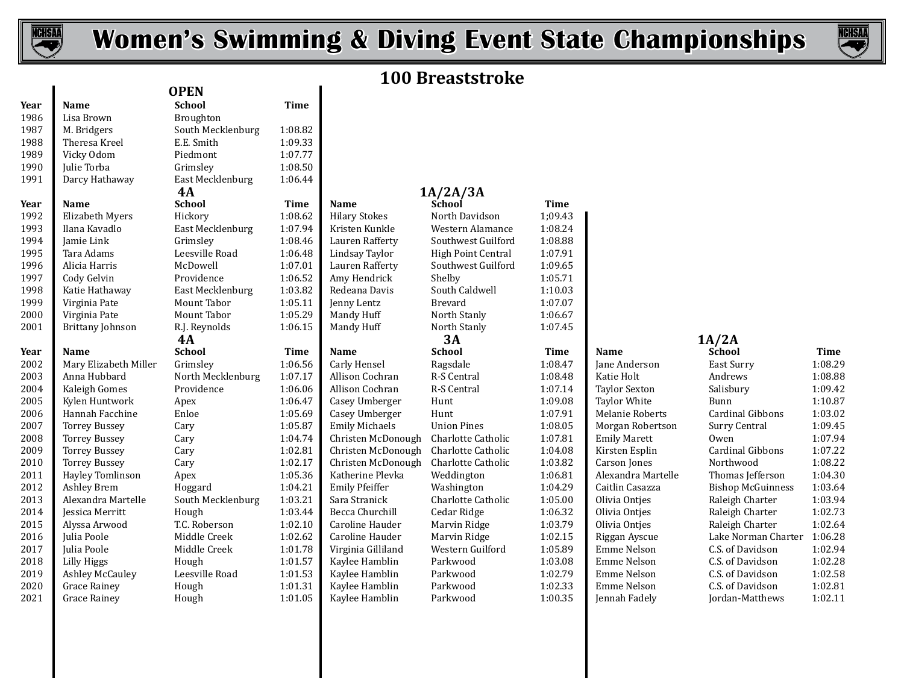



## **100 Breaststroke**

| Year | <b>Name</b>             | <b>School</b>     | <b>Time</b> |                       |                    |             |                      |                          |             |
|------|-------------------------|-------------------|-------------|-----------------------|--------------------|-------------|----------------------|--------------------------|-------------|
| 1986 | Lisa Brown              | Broughton         |             |                       |                    |             |                      |                          |             |
| 1987 | M. Bridgers             | South Mecklenburg | 1:08.82     |                       |                    |             |                      |                          |             |
| 1988 | Theresa Kreel           | E.E. Smith        | 1:09.33     |                       |                    |             |                      |                          |             |
| 1989 | Vicky Odom              | Piedmont          | 1:07.77     |                       |                    |             |                      |                          |             |
| 1990 | Julie Torba             | Grimslev          | 1:08.50     |                       |                    |             |                      |                          |             |
| 1991 | Darcy Hathaway          | East Mecklenburg  | 1:06.44     |                       |                    |             |                      |                          |             |
|      |                         | 4A                |             |                       | 1A/2A/3A           |             |                      |                          |             |
| Year | <b>Name</b>             | <b>School</b>     | Time        | <b>Name</b>           | School             | <b>Time</b> |                      |                          |             |
| 1992 | Elizabeth Myers         | Hickory           | 1:08.62     | <b>Hilary Stokes</b>  | North Davidson     | 1;09.43     |                      |                          |             |
| 1993 | Ilana Kavadlo           | East Mecklenburg  | 1:07.94     | Kristen Kunkle        | Western Alamance   | 1:08.24     |                      |                          |             |
| 1994 | Jamie Link              | Grimsley          | 1:08.46     | Lauren Rafferty       | Southwest Guilford | 1:08.88     |                      |                          |             |
| 1995 | Tara Adams              | Leesville Road    | 1:06.48     | Lindsay Taylor        | High Point Central | 1:07.91     |                      |                          |             |
| 1996 | Alicia Harris           | McDowell          | 1:07.01     | Lauren Rafferty       | Southwest Guilford | 1:09.65     |                      |                          |             |
| 1997 | Cody Gelvin             | Providence        | 1:06.52     | Amy Hendrick          | Shelby             | 1:05.71     |                      |                          |             |
| 1998 | Katie Hathaway          | East Mecklenburg  | 1:03.82     | Redeana Davis         | South Caldwell     | 1:10.03     |                      |                          |             |
| 1999 | Virginia Pate           | Mount Tabor       | 1:05.11     | Jenny Lentz           | Brevard            | 1:07.07     |                      |                          |             |
| 2000 | Virginia Pate           | Mount Tabor       | 1:05.29     | Mandy Huff            | North Stanly       | 1:06.67     |                      |                          |             |
| 2001 | <b>Brittany Johnson</b> | R.J. Reynolds     | 1:06.15     | Mandy Huff            | North Stanly       | 1:07.45     |                      |                          |             |
|      |                         | 4A                |             |                       | 3A                 |             |                      | 1A/2A                    |             |
| Year | Name                    | <b>School</b>     | <b>Time</b> | Name                  | <b>School</b>      | <b>Time</b> | Name                 | School                   | <b>Time</b> |
| 2002 | Mary Elizabeth Miller   | Grimsley          | 1:06.56     | Carly Hensel          | Ragsdale           | 1:08.47     | Jane Anderson        | East Surry               | 1:08.29     |
| 2003 | Anna Hubbard            | North Mecklenburg | 1:07.17     | Allison Cochran       | R-S Central        | 1:08.48     | Katie Holt           | Andrews                  | 1:08.88     |
| 2004 | Kaleigh Gomes           | Providence        | 1:06.06     | Allison Cochran       | R-S Central        | 1:07.14     | <b>Taylor Sexton</b> | Salisbury                | 1:09.42     |
| 2005 | Kylen Huntwork          | Apex              | 1:06.47     | Casey Umberger        | Hunt               | 1:09.08     | <b>Taylor White</b>  | Bunn                     | 1:10.87     |
| 2006 | Hannah Facchine         | Enloe             | 1:05.69     | Casey Umberger        | Hunt               | 1:07.91     | Melanie Roberts      | Cardinal Gibbons         | 1:03.02     |
| 2007 | <b>Torrey Bussey</b>    | Cary              | 1:05.87     | <b>Emily Michaels</b> | <b>Union Pines</b> | 1:08.05     | Morgan Robertson     | Surry Central            | 1:09.45     |
| 2008 | <b>Torrey Bussey</b>    | Cary              | 1:04.74     | Christen McDonough    | Charlotte Catholic | 1:07.81     | <b>Emily Marett</b>  | Owen                     | 1:07.94     |
| 2009 | <b>Torrey Bussey</b>    | Cary              | 1:02.81     | Christen McDonough    | Charlotte Catholic | 1:04.08     | Kirsten Esplin       | Cardinal Gibbons         | 1:07.22     |
| 2010 | <b>Torrey Bussey</b>    | Cary              | 1:02.17     | Christen McDonough    | Charlotte Catholic | 1:03.82     | Carson Jones         | Northwood                | 1:08.22     |
| 2011 | Hayley Tomlinson        | Apex              | 1:05.36     | Katherine Plevka      | Weddington         | 1:06.81     | Alexandra Martelle   | Thomas Jefferson         | 1:04.30     |
| 2012 | Ashley Brem             | Hoggard           | 1:04.21     | <b>Emily Pfeiffer</b> | Washington         | 1:04.29     | Caitlin Casazza      | <b>Bishop McGuinness</b> | 1:03.64     |
| 2013 | Alexandra Martelle      | South Mecklenburg | 1:03.21     | Sara Stranick         | Charlotte Catholic | 1:05.00     | Olivia Ontjes        | Raleigh Charter          | 1:03.94     |
| 2014 | <b>Jessica Merritt</b>  | Hough             | 1:03.44     | Becca Churchill       | Cedar Ridge        | 1:06.32     | Olivia Onties        | Raleigh Charter          | 1:02.73     |
| 2015 | Alyssa Arwood           | T.C. Roberson     | 1:02.10     | Caroline Hauder       | Marvin Ridge       | 1:03.79     | Olivia Ontjes        | Raleigh Charter          | 1:02.64     |
| 2016 | Julia Poole             | Middle Creek      | 1:02.62     | Caroline Hauder       | Marvin Ridge       | 1:02.15     | Riggan Ayscue        | Lake Norman Charter      | 1:06.28     |
| 2017 | Julia Poole             | Middle Creek      | 1:01.78     | Virginia Gilliland    | Western Guilford   | 1:05.89     | <b>Emme Nelson</b>   | C.S. of Davidson         | 1:02.94     |
| 2018 | Lilly Higgs             | Hough             | 1:01.57     | Kaylee Hamblin        | Parkwood           | 1:03.08     | <b>Emme Nelson</b>   | C.S. of Davidson         | 1:02.28     |
| 2019 | <b>Ashley McCauley</b>  | Leesville Road    | 1:01.53     | Kaylee Hamblin        | Parkwood           | 1:02.79     | Emme Nelson          | C.S. of Davidson         | 1:02.58     |
| 2020 | <b>Grace Rainey</b>     | Hough             | 1:01.31     | Kaylee Hamblin        | Parkwood           | 1:02.33     | Emme Nelson          | C.S. of Davidson         | 1:02.81     |
| 2021 | Grace Rainev            | Hough             | 1:01.05     | Kaylee Hamblin        | Parkwood           | 1:00.35     | Jennah Fadely        | Jordan-Matthews          | 1:02.11     |

| <b>OPEN</b>        |             |                       |                    |
|--------------------|-------------|-----------------------|--------------------|
| <b>School</b>      | <b>Time</b> |                       |                    |
| Broughton          |             |                       |                    |
| South Mecklenburg  | 1:08.82     |                       |                    |
| E.E. Smith         | 1:09.33     |                       |                    |
| Piedmont           | 1:07.77     |                       |                    |
| Grimsley           | 1:08.50     |                       |                    |
| East Mecklenburg   | 1:06.44     |                       |                    |
| 4A                 |             |                       | 1A/2A/3A           |
| <b>School</b>      | <b>Time</b> | Name                  | School             |
| Hickory            | 1:08.62     | <b>Hilary Stokes</b>  | North David        |
| East Mecklenburg   | 1:07.94     | Kristen Kunkle        | Western Ala        |
| Grimsley           | 1:08.46     | Lauren Rafferty       | Southwest (        |
| Leesville Road     | 1:06.48     | Lindsay Taylor        | High Point (       |
| McDowell           | 1:07.01     | Lauren Rafferty       | Southwest (        |
| Providence         | 1:06.52     | Amy Hendrick          | Shelby             |
| East Mecklenburg   | 1:03.82     | Redeana Davis         | South Caldy        |
| <b>Mount Tabor</b> | 1:05.11     | Jenny Lentz           | <b>Brevard</b>     |
| <b>Mount Tabor</b> | 1:05.29     | Mandy Huff            | North Stanl        |
| R.J. Reynolds      | 1:06.15     | Mandy Huff            | North Stanly       |
| 4A                 |             |                       | 3А                 |
| <b>School</b>      | <b>Time</b> | Name                  | <b>School</b>      |
| Grimsley           | 1:06.56     | Carly Hensel          | Ragsdale           |
| North Mecklenburg  | 1:07.17     | Allison Cochran       | <b>R-S Central</b> |
| Providence         | 1:06.06     | Allison Cochran       | R-S Central        |
| Apex               | 1:06.47     | Casey Umberger        | Hunt               |
| Enloe              | 1:05.69     | Casey Umberger        | Hunt               |
| Cary               | 1:05.87     | <b>Emily Michaels</b> | <b>Union Pines</b> |
| Cary               | 1:04.74     | Christen McDonough    | Charlotte Ca       |
| Cary               | 1:02.81     | Christen McDonough    | Charlotte Ca       |
| Cary               | 1:02.17     | Christen McDonough    | Charlotte Ca       |
| Apex               | 1:05.36     | Katherine Plevka      | Weddingtor         |
| Hoggard            | 1:04.21     | <b>Emily Pfeiffer</b> | Washington         |
| South Mecklenburg  | 1:03.21     | Sara Stranick         | Charlotte Ca       |
| Hough              | 1:03.44     | Becca Churchill       | Cedar Ridge        |
| $TC$ Doborcon      | 1.02.10     | Carolina Haudar       | Morrin Dide        |

| <b>Name</b>     |
|-----------------|
| Hilary Stokes   |
| Kristen Kunkle  |
| Lauren Rafferty |
| Lindsay Taylor  |
| Lauren Rafferty |
| Amy Hendrick    |
| Redeana Davis   |
| Jenny Lentz     |
| Mandy Huff      |
| Mandy Huff      |

| ŦА                       |                 |                       | IA/ZA/3A                  |             |                        |                      |
|--------------------------|-----------------|-----------------------|---------------------------|-------------|------------------------|----------------------|
| ichool                   | <b>Time</b>     | <b>Name</b>           | School                    | <b>Time</b> |                        |                      |
| Hickory                  | 1:08.62         | <b>Hilary Stokes</b>  | North Davidson            | 1:09.43     |                        |                      |
| East Mecklenburg         | 1:07.94         | Kristen Kunkle        | Western Alamance          | 1:08.24     |                        |                      |
| }rimsley                 | 1:08.46         | Lauren Rafferty       | Southwest Guilford        | 1:08.88     |                        |                      |
| eesville Road            | 1:06.48         | Lindsay Taylor        | High Point Central        | 1:07.91     |                        |                      |
| AcDowell                 | 1:07.01         | Lauren Rafferty       | Southwest Guilford        | 1:09.65     |                        |                      |
| Providence               | 1:06.52         | Amy Hendrick          | Shelby                    | 1:05.71     |                        |                      |
| East Mecklenburg         | 1:03.82         | Redeana Davis         | South Caldwell            | 1:10.03     |                        |                      |
| Mount Tabor              | 1:05.11         | Jenny Lentz           | <b>Brevard</b>            | 1:07.07     |                        |                      |
| Mount Tabor              | 1:05.29         | Mandy Huff            | North Stanly              | 1:06.67     |                        |                      |
| <b>LJ.</b> Reynolds      | 1:06.15         | Mandy Huff            | North Stanly              | 1:07.45     |                        |                      |
| 4А                       |                 |                       | 3A                        |             |                        | 1A/2A                |
| <b>school</b>            | Time            | <b>Name</b>           | <b>School</b>             | Time        | Name                   | School               |
| <b>Frimsley</b>          | 1:06.56         | Carly Hensel          | Ragsdale                  | 1:08.47     | Jane Anderson          | East Su              |
| <b>North Mecklenburg</b> | 1:07.17         | Allison Cochran       | <b>R-S Central</b>        | 1:08.48     | Katie Holt             | Andrey               |
| Providence               | 1:06.06         | Allison Cochran       | R-S Central               | 1:07.14     | <b>Taylor Sexton</b>   | Salisbu              |
| Apex                     | 1:06.47         | Casey Umberger        | Hunt                      | 1:09.08     | <b>Taylor White</b>    | Bunn                 |
| <b>Enloe</b>             | 1:05.69         | Casey Umberger        | Hunt                      | 1:07.91     | <b>Melanie Roberts</b> | Cardin               |
| Cary                     | 1:05.87         | <b>Emily Michaels</b> | <b>Union Pines</b>        | 1:08.05     | Morgan Robertson       | Surry (              |
| `ary                     | 1:04.74         | Christen McDonough    | Charlotte Catholic        | 1:07.81     | <b>Emily Marett</b>    | Owen                 |
| `ary                     | 1:02.81         | Christen McDonough    | Charlotte Catholic        | 1:04.08     | Kirsten Esplin         | Cardin               |
| ary:                     | 1:02.17         | Christen McDonough    | Charlotte Catholic        | 1:03.82     | <b>Carson</b> Jones    | Northy               |
| Apex                     | 1:05.36         | Katherine Plevka      | Weddington                | 1:06.81     | Alexandra Martelle     | Thoma                |
| Ioggard                  | 1:04.21         | <b>Emily Pfeiffer</b> | Washington                | 1:04.29     | Caitlin Casazza        | Bishop               |
| South Mecklenburg        | 1:03.21         | Sara Stranick         | <b>Charlotte Catholic</b> | 1:05.00     | Olivia Ontjes          | Raleigl              |
| Iough                    | 1:03.44         | Becca Churchill       | Cedar Ridge               | 1:06.32     | Olivia Ontjes          | Raleigl              |
| C.C. Roberson            | 1:02.10         | Caroline Hauder       | Marvin Ridge              | 1:03.79     | Olivia Ontjes          | Raleigl              |
| Middle Creek             | 1:02.62         | Caroline Hauder       | Marvin Ridge              | 1:02.15     | Riggan Ayscue          | Lake N               |
| Middle Creek             | 1:01.78         | Virginia Gilliland    | Western Guilford          | 1:05.89     | Emme Nelson            | C.S. of              |
| Iough                    | 1:01.57         | Kaylee Hamblin        | Parkwood                  | 1:03.08     | <b>Emme Nelson</b>     | C.S. of              |
| eesville Road            | 1:01.53         | Kaylee Hamblin        | Parkwood                  | 1:02.79     | Emme Nelson            | C.S. of              |
| Jough                    | 1:01.31         | Kaylee Hamblin        | Parkwood                  | 1:02.33     | Emme Nelson            | C.S. of              |
| $I \sim R$               | 1.01.0 $\Gamma$ | Vordee Hamblin        | $D$ orlu $\alpha$ od      | 1.00 $25$   | Jonnah Eadalu          | $I$ <sub>andan</sub> |

| 1:08.24 |                     |
|---------|---------------------|
| 1:08.88 |                     |
| 1:07.91 |                     |
| 1:09.65 |                     |
| 1:05.71 |                     |
| 1:10.03 |                     |
| 1:07.07 |                     |
| 1:06.67 |                     |
| 1:07.45 |                     |
| Time    | Name                |
| 1:08.47 | Jane Ar             |
| 1:08.48 | Katie H             |
| 1:07.14 | Tavlor              |
| 1:09.08 | Taylor <sup>®</sup> |
| 1:07.91 | Melani              |
| 1:08.05 | Morgai              |
| 1:07.81 | Emily I             |
| 1:04.08 | Kirster             |
| 1:03.82 | Carson              |
| 1:06.81 | Alexan              |
| 1:04.29 | Caitlin             |
| 1:05.00 | Olivia (            |
| 1:06.32 | Olivia <sup>(</sup> |
| 1:03.79 | Olivia <sup>(</sup> |
| 1:02.15 | Riggan              |
| 1:05.89 | Emme                |
| 1:03.08 | Emme                |
| 1:02.79 | Emme                |
| 1:02.33 | Emme                |